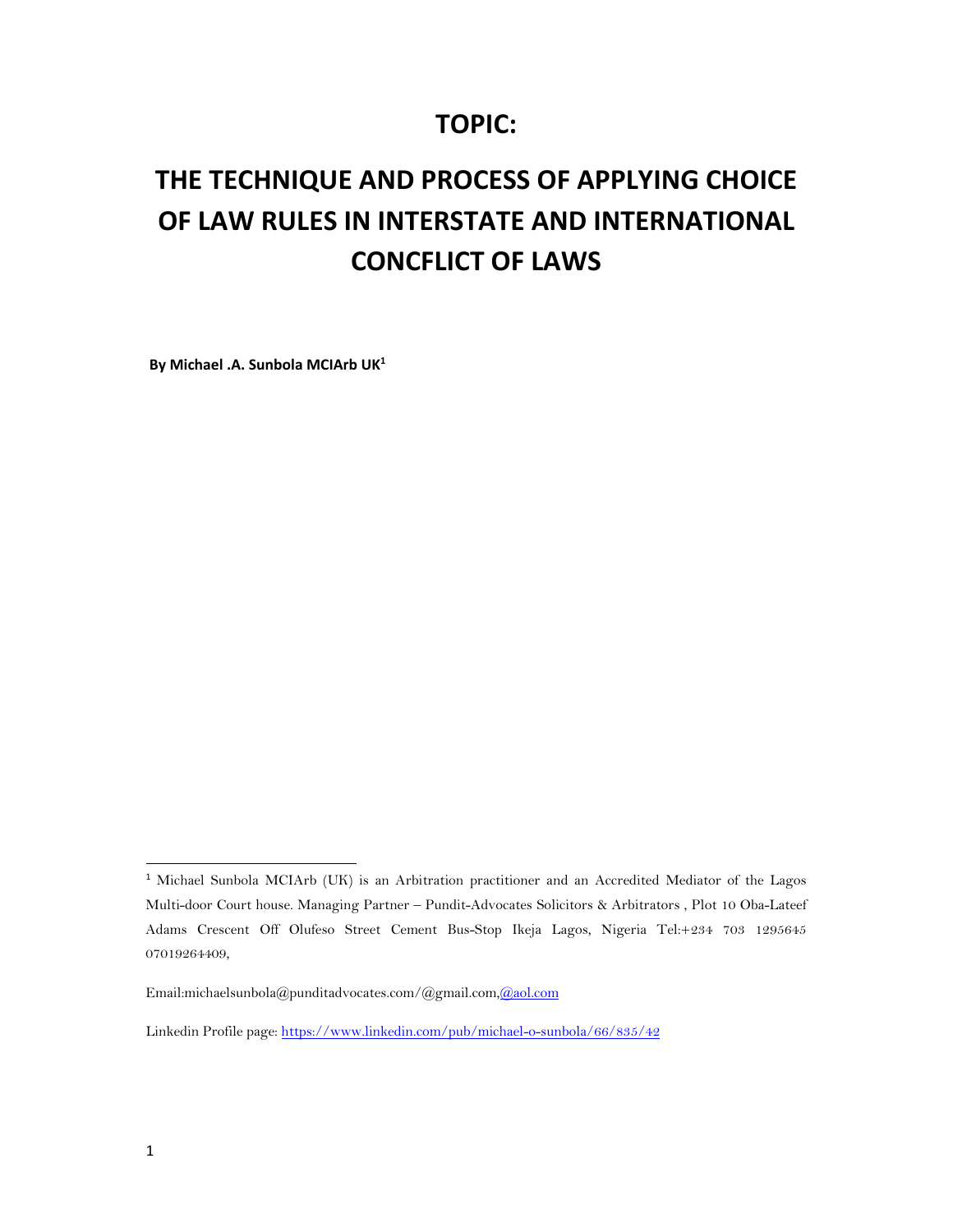## **TOPIC:**

# **THE TECHNIQUE AND PROCESS OF APPLYING CHOICE OF LAW RULES IN INTERSTATE AND INTERNATIONAL CONCFLICT OF LAWS**

**By Michael .A. Sunbola MCIArb UK1** 

<sup>&</sup>lt;sup>1</sup> Michael Sunbola MCIArb (UK) is an Arbitration practitioner and an Accredited Mediator of the Lagos Multi-door Court house. Managing Partner – Pundit-Advocates Solicitors & Arbitrators , Plot 10 Oba-Lateef Adams Crescent Off Olufeso Street Cement Bus-Stop Ikeja Lagos, Nigeria Tel:+234 703 1295645 07019264409,

Email:michaelsunbola@punditadvocates.com/@gmail.com,@aol.com

Linkedin Profile page: https://www.linkedin.com/pub/michael-o-sunbola/66/835/42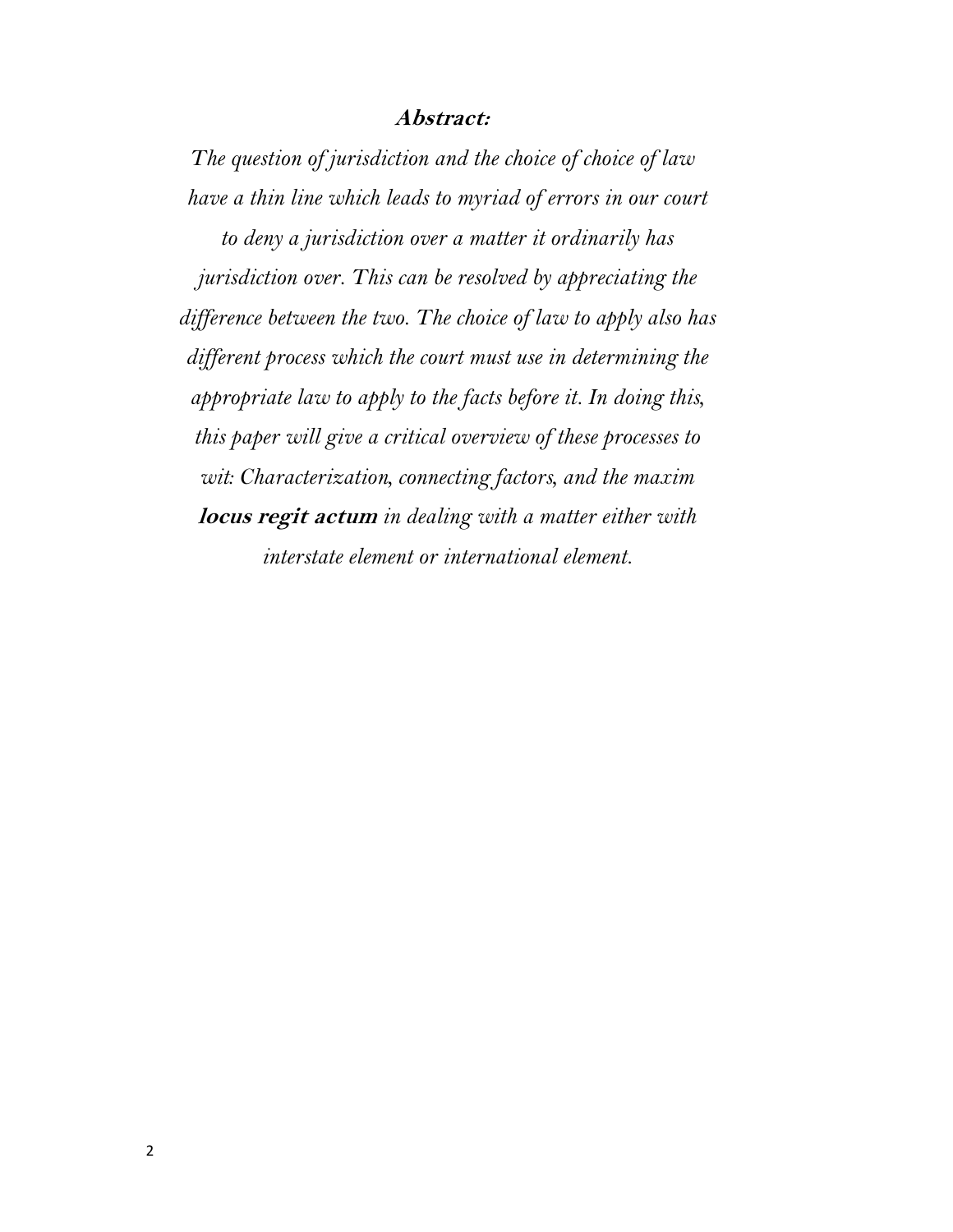#### **Abstract:**

*The question of jurisdiction and the choice of choice of law have a thin line which leads to myriad of errors in our court to deny a jurisdiction over a matter it ordinarily has jurisdiction over. This can be resolved by appreciating the difference between the two. The choice of law to apply also has different process which the court must use in determining the appropriate law to apply to the facts before it. In doing this, this paper will give a critical overview of these processes to wit: Characterization, connecting factors, and the maxim*  **locus regit actum** *in dealing with a matter either with interstate element or international element.*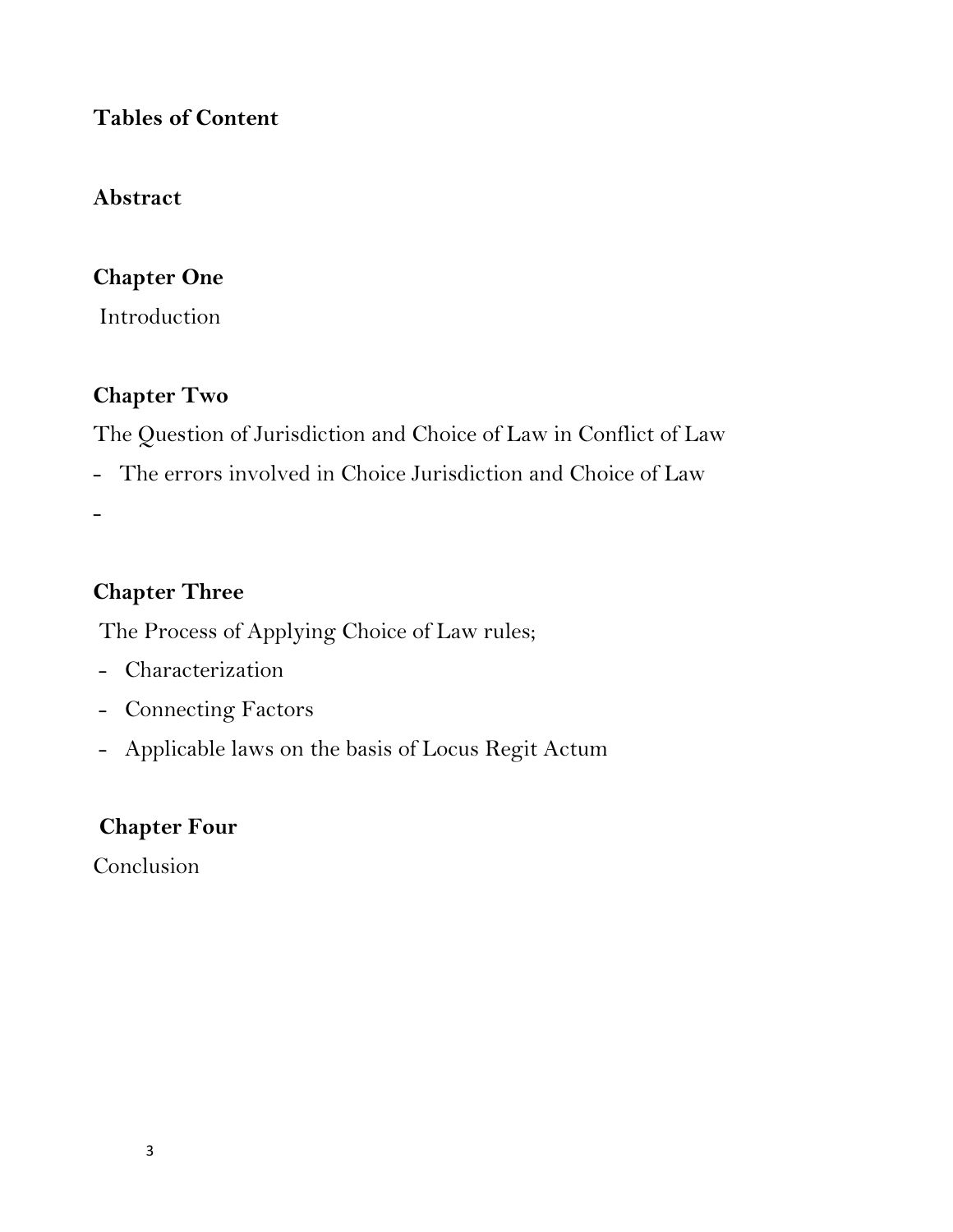### **Tables of Content**

### **Abstract**

## **Chapter One**

Introduction

## **Chapter Two**

The Question of Jurisdiction and Choice of Law in Conflict of Law

- The errors involved in Choice Jurisdiction and Choice of Law

-

## **Chapter Three**

The Process of Applying Choice of Law rules;

- Characterization
- Connecting Factors
- Applicable laws on the basis of Locus Regit Actum

## **Chapter Four**

Conclusion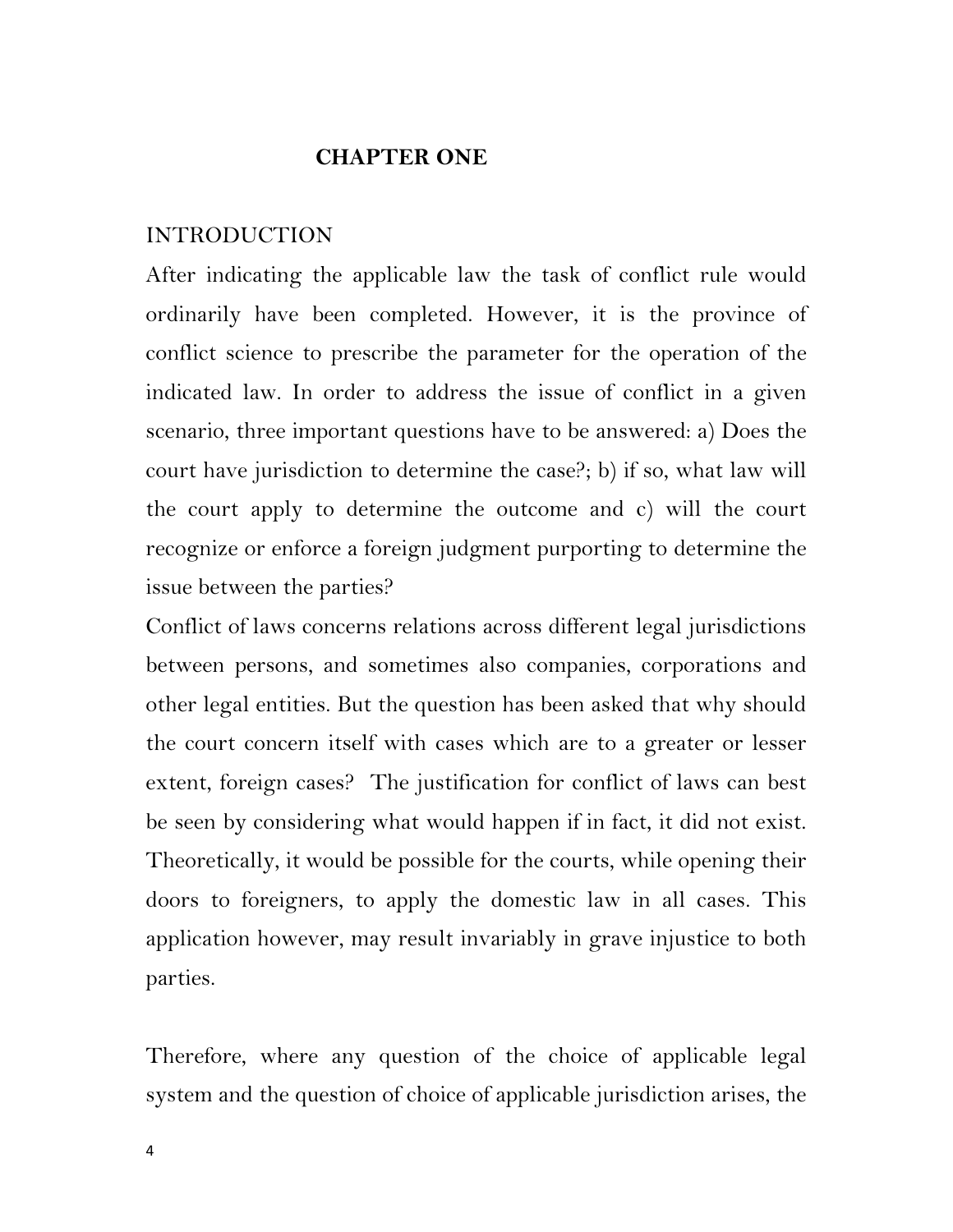#### **CHAPTER ONE**

#### INTRODUCTION

After indicating the applicable law the task of conflict rule would ordinarily have been completed. However, it is the province of conflict science to prescribe the parameter for the operation of the indicated law. In order to address the issue of conflict in a given scenario, three important questions have to be answered: a) Does the court have jurisdiction to determine the case?; b) if so, what law will the court apply to determine the outcome and c) will the court recognize or enforce a foreign judgment purporting to determine the issue between the parties?

Conflict of laws concerns relations across different legal jurisdictions between persons, and sometimes also companies, corporations and other legal entities. But the question has been asked that why should the court concern itself with cases which are to a greater or lesser extent, foreign cases? The justification for conflict of laws can best be seen by considering what would happen if in fact, it did not exist. Theoretically, it would be possible for the courts, while opening their doors to foreigners, to apply the domestic law in all cases. This application however, may result invariably in grave injustice to both parties.

Therefore, where any question of the choice of applicable legal system and the question of choice of applicable jurisdiction arises, the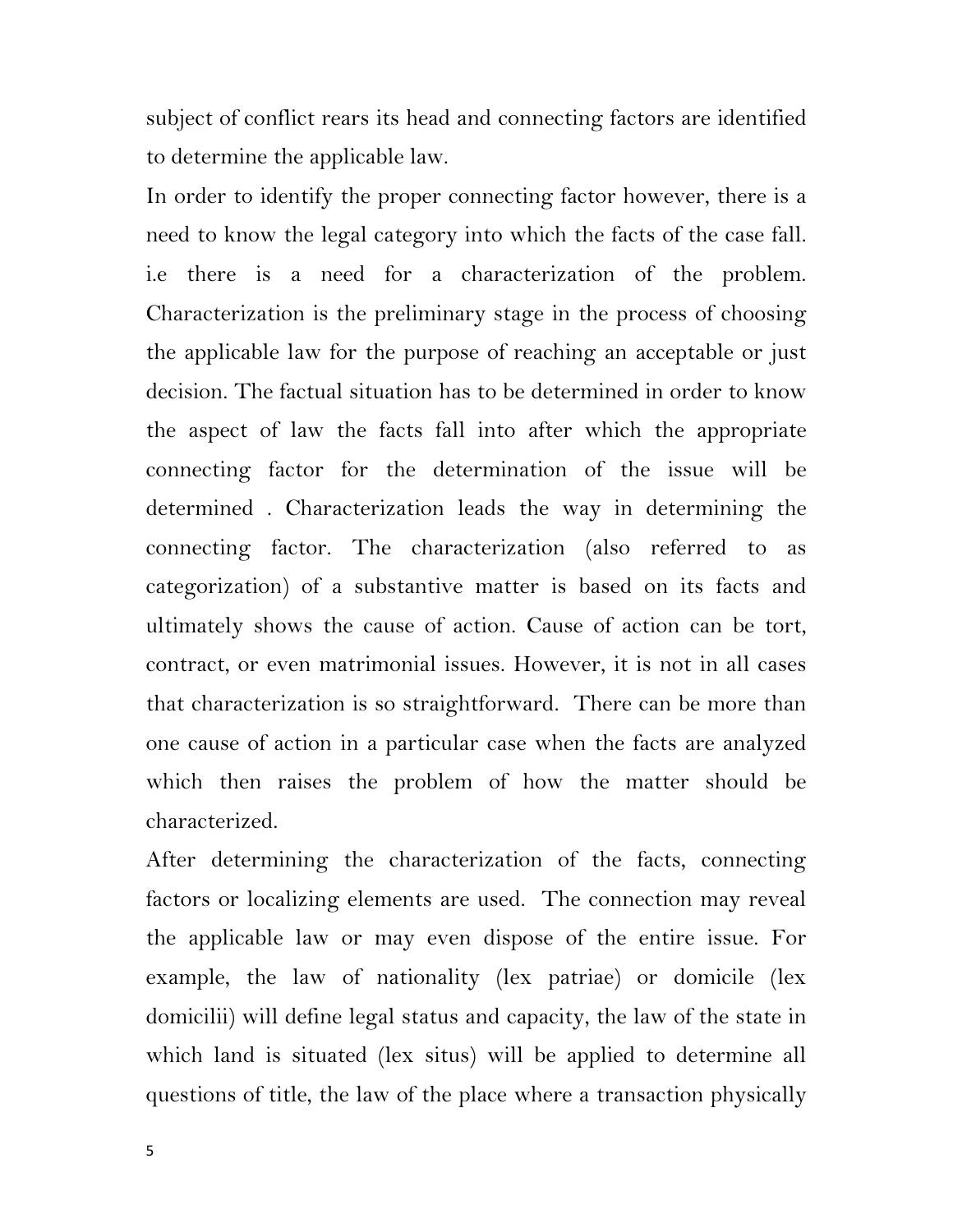subject of conflict rears its head and connecting factors are identified to determine the applicable law.

In order to identify the proper connecting factor however, there is a need to know the legal category into which the facts of the case fall. i.e there is a need for a characterization of the problem. Characterization is the preliminary stage in the process of choosing the applicable law for the purpose of reaching an acceptable or just decision. The factual situation has to be determined in order to know the aspect of law the facts fall into after which the appropriate connecting factor for the determination of the issue will be determined . Characterization leads the way in determining the connecting factor. The characterization (also referred to as categorization) of a substantive matter is based on its facts and ultimately shows the cause of action. Cause of action can be tort, contract, or even matrimonial issues. However, it is not in all cases that characterization is so straightforward. There can be more than one cause of action in a particular case when the facts are analyzed which then raises the problem of how the matter should be characterized.

After determining the characterization of the facts, connecting factors or localizing elements are used. The connection may reveal the applicable law or may even dispose of the entire issue. For example, the law of nationality (lex patriae) or domicile (lex domicilii) will define legal status and capacity, the law of the state in which land is situated (lex situs) will be applied to determine all questions of title, the law of the place where a transaction physically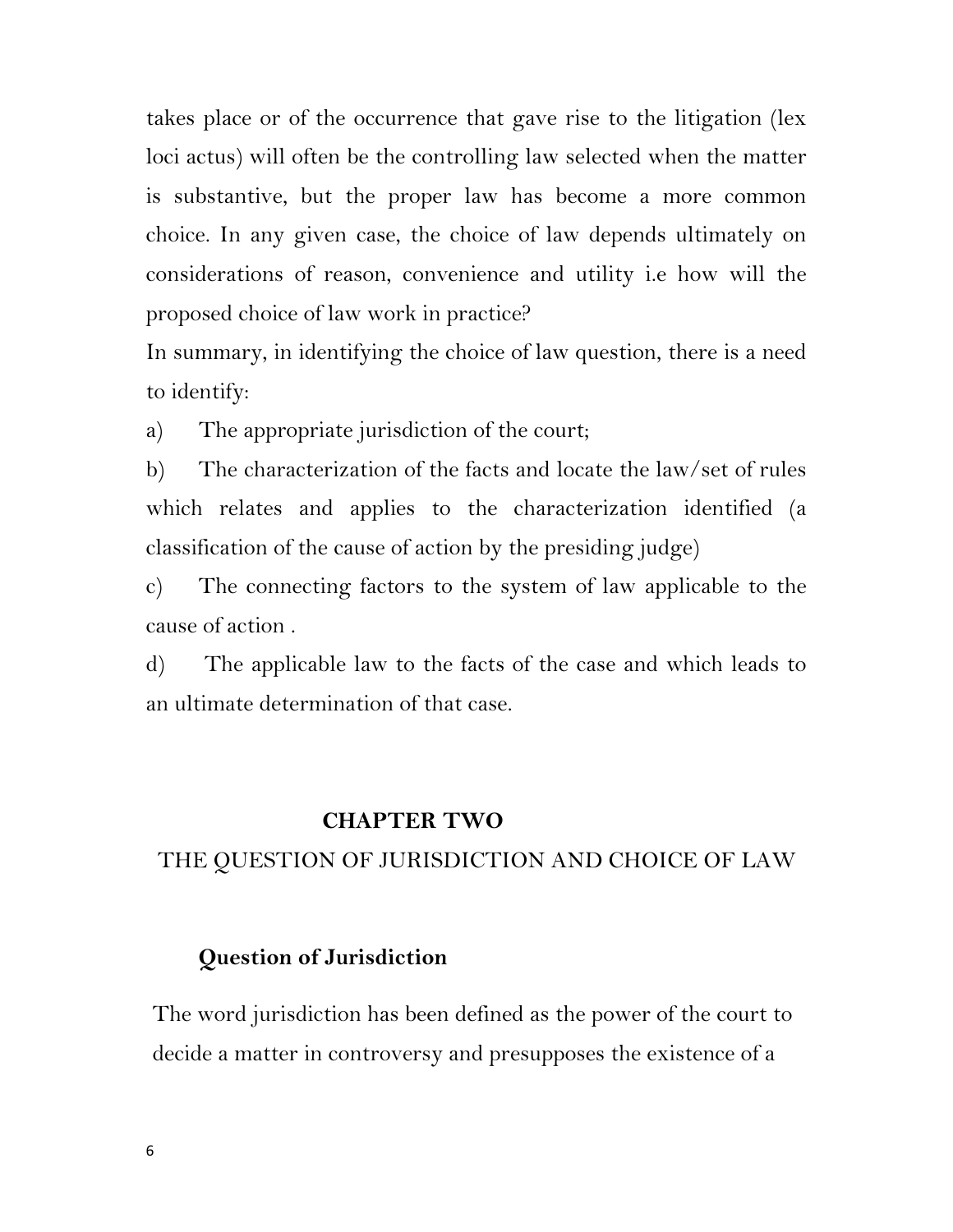takes place or of the occurrence that gave rise to the litigation (lex loci actus) will often be the controlling law selected when the matter is substantive, but the proper law has become a more common choice. In any given case, the choice of law depends ultimately on considerations of reason, convenience and utility i.e how will the proposed choice of law work in practice?

In summary, in identifying the choice of law question, there is a need to identify:

a) The appropriate jurisdiction of the court;

b) The characterization of the facts and locate the law/set of rules which relates and applies to the characterization identified (a classification of the cause of action by the presiding judge)

c) The connecting factors to the system of law applicable to the cause of action .

d) The applicable law to the facts of the case and which leads to an ultimate determination of that case.

#### **CHAPTER TWO**

#### THE QUESTION OF JURISDICTION AND CHOICE OF LAW

#### **Question of Jurisdiction**

The word jurisdiction has been defined as the power of the court to decide a matter in controversy and presupposes the existence of a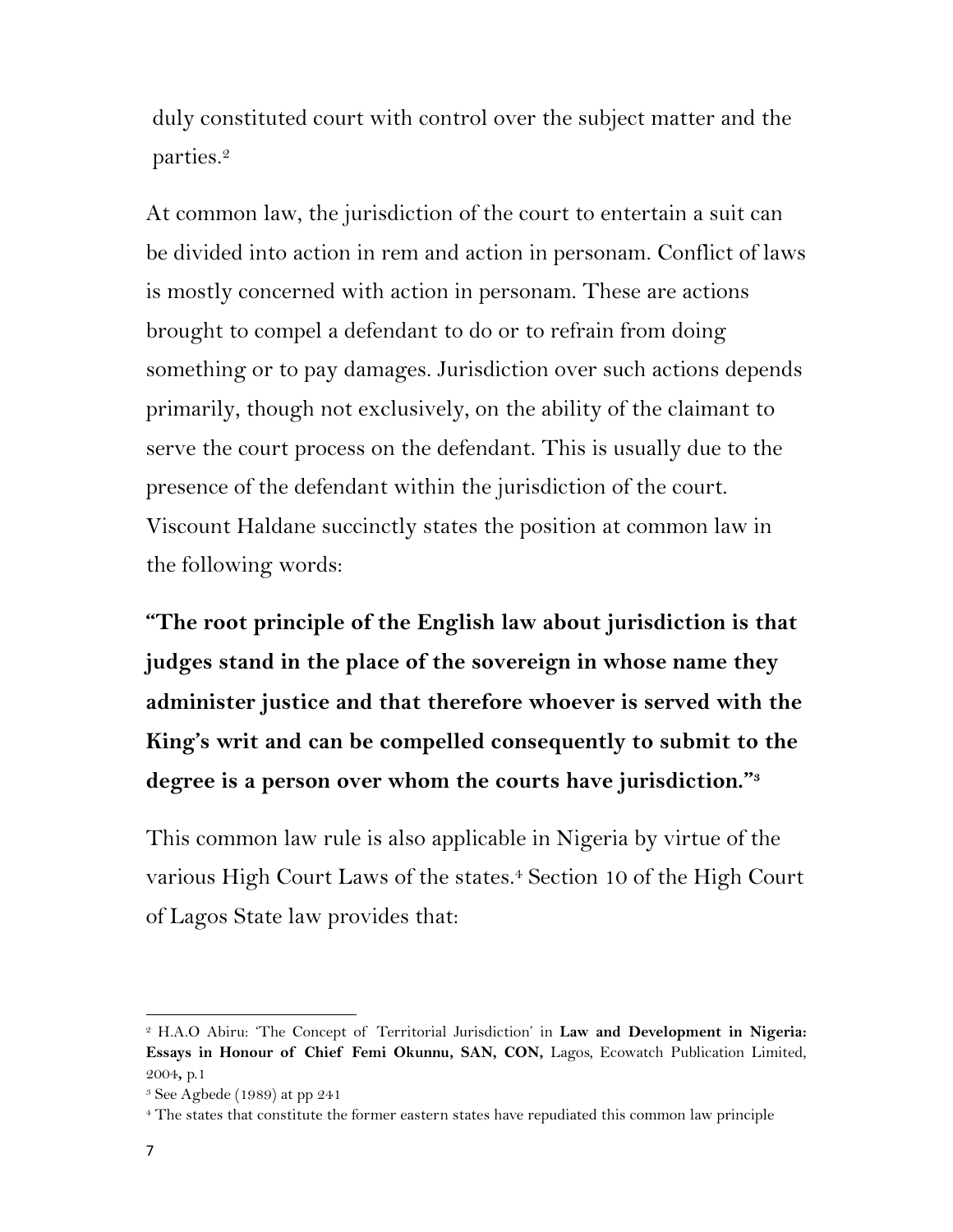duly constituted court with control over the subject matter and the parties.<sup>2</sup>

At common law, the jurisdiction of the court to entertain a suit can be divided into action in rem and action in personam. Conflict of laws is mostly concerned with action in personam. These are actions brought to compel a defendant to do or to refrain from doing something or to pay damages. Jurisdiction over such actions depends primarily, though not exclusively, on the ability of the claimant to serve the court process on the defendant. This is usually due to the presence of the defendant within the jurisdiction of the court. Viscount Haldane succinctly states the position at common law in the following words:

**"The root principle of the English law about jurisdiction is that judges stand in the place of the sovereign in whose name they administer justice and that therefore whoever is served with the King's writ and can be compelled consequently to submit to the degree is a person over whom the courts have jurisdiction."3**

This common law rule is also applicable in Nigeria by virtue of the various High Court Laws of the states.<sup>4</sup> Section 10 of the High Court of Lagos State law provides that:

<sup>2</sup> H.A.O Abiru: 'The Concept of Territorial Jurisdiction' in **Law and Development in Nigeria: Essays in Honour of Chief Femi Okunnu, SAN, CON,** Lagos, Ecowatch Publication Limited, 2004**,** p.1

<sup>3</sup> See Agbede (1989) at pp 241

<sup>4</sup> The states that constitute the former eastern states have repudiated this common law principle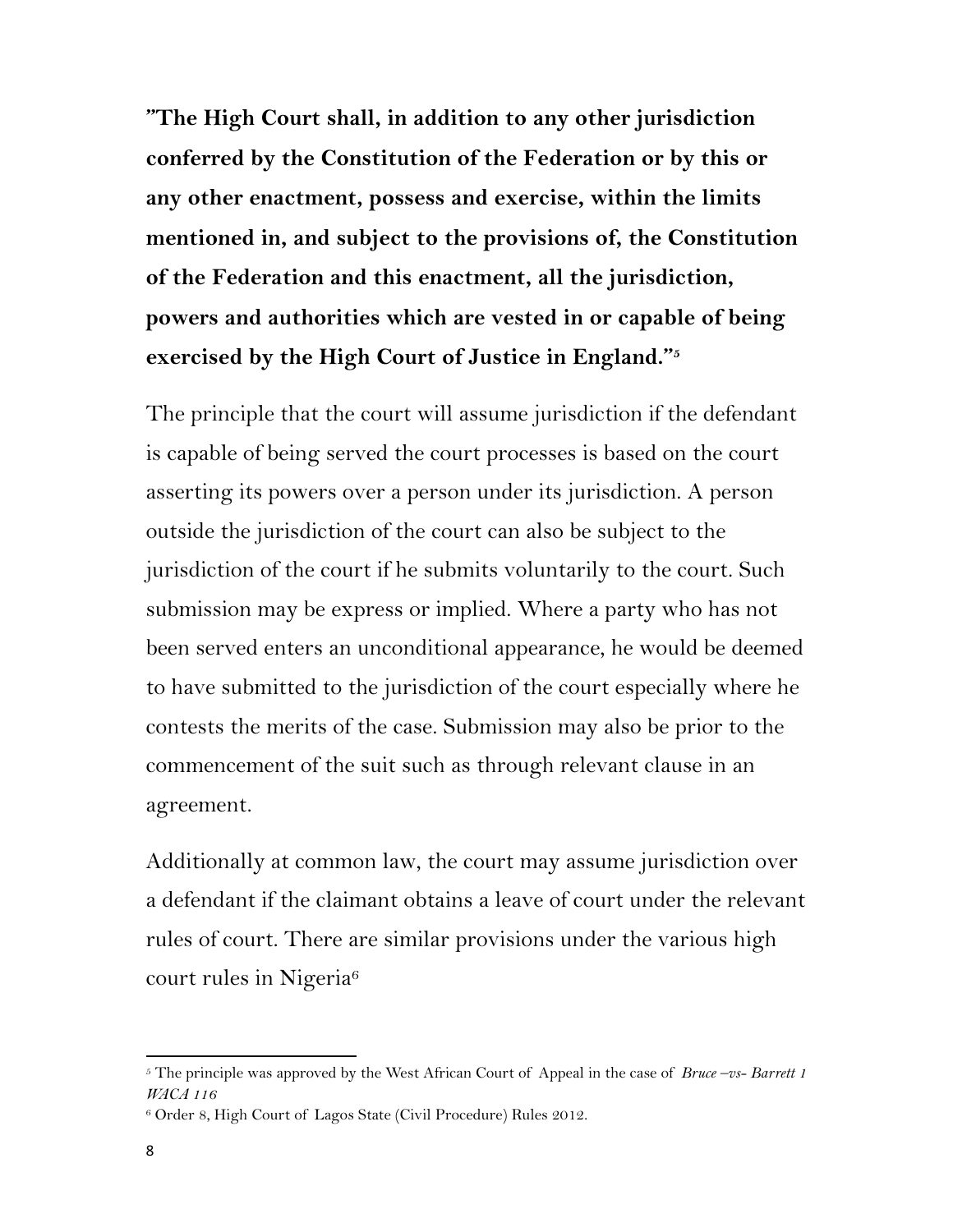**"The High Court shall, in addition to any other jurisdiction conferred by the Constitution of the Federation or by this or any other enactment, possess and exercise, within the limits mentioned in, and subject to the provisions of, the Constitution of the Federation and this enactment, all the jurisdiction, powers and authorities which are vested in or capable of being exercised by the High Court of Justice in England."5**

The principle that the court will assume jurisdiction if the defendant is capable of being served the court processes is based on the court asserting its powers over a person under its jurisdiction. A person outside the jurisdiction of the court can also be subject to the jurisdiction of the court if he submits voluntarily to the court. Such submission may be express or implied. Where a party who has not been served enters an unconditional appearance, he would be deemed to have submitted to the jurisdiction of the court especially where he contests the merits of the case. Submission may also be prior to the commencement of the suit such as through relevant clause in an agreement.

Additionally at common law, the court may assume jurisdiction over a defendant if the claimant obtains a leave of court under the relevant rules of court. There are similar provisions under the various high court rules in Nigeria<sup>6</sup>

<sup>5</sup> The principle was approved by the West African Court of Appeal in the case of *Bruce –vs- Barrett 1 WACA 116* 

<sup>6</sup> Order 8, High Court of Lagos State (Civil Procedure) Rules 2012.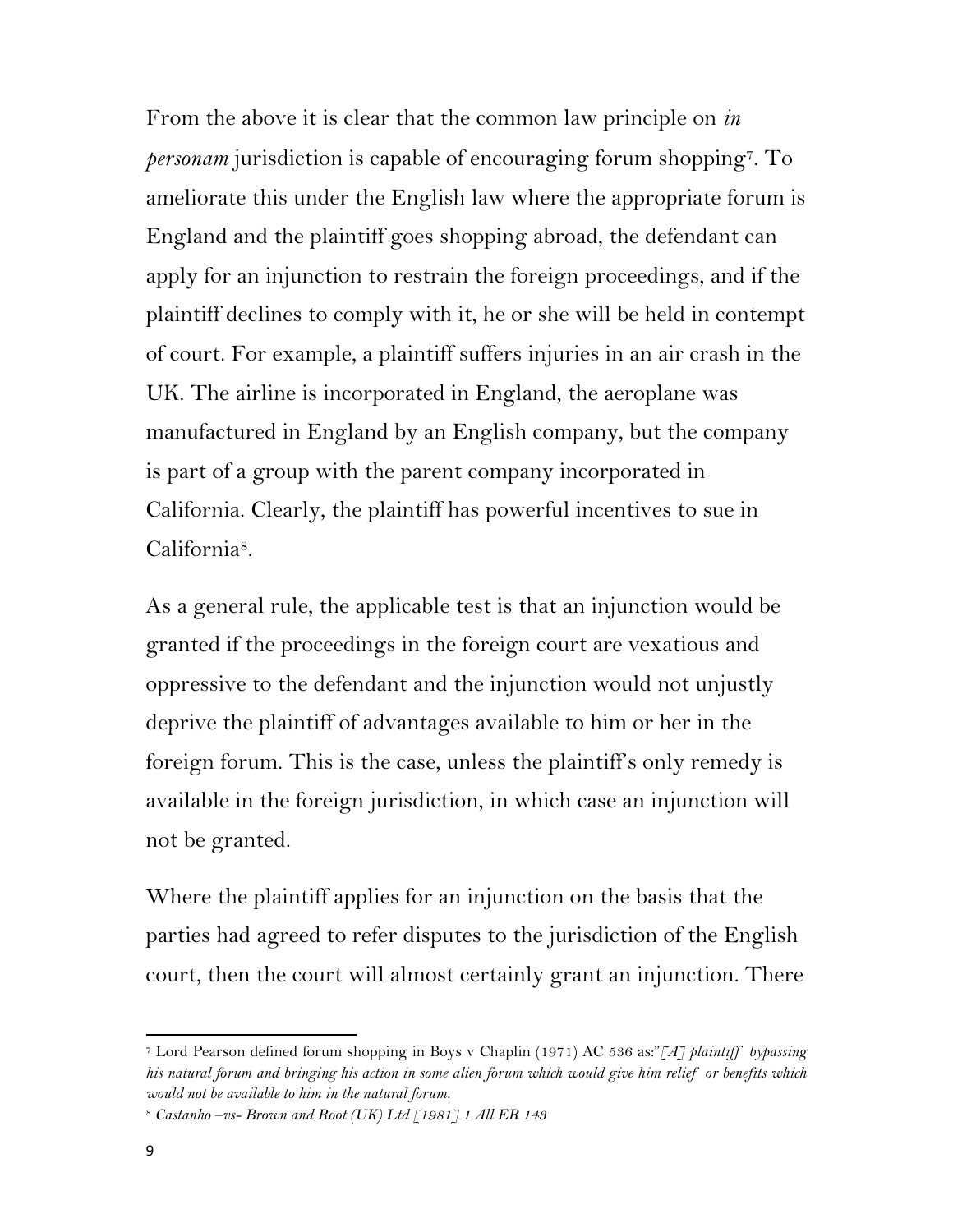From the above it is clear that the common law principle on *in personam* jurisdiction is capable of encouraging forum shopping7. To ameliorate this under the English law where the appropriate forum is England and the plaintiff goes shopping abroad, the defendant can apply for an injunction to restrain the foreign proceedings, and if the plaintiff declines to comply with it, he or she will be held in contempt of court. For example, a plaintiff suffers injuries in an air crash in the UK. The airline is incorporated in England, the aeroplane was manufactured in England by an English company, but the company is part of a group with the parent company incorporated in California. Clearly, the plaintiff has powerful incentives to sue in California8.

As a general rule, the applicable test is that an injunction would be granted if the proceedings in the foreign court are vexatious and oppressive to the defendant and the injunction would not unjustly deprive the plaintiff of advantages available to him or her in the foreign forum. This is the case, unless the plaintiff's only remedy is available in the foreign jurisdiction, in which case an injunction will not be granted.

Where the plaintiff applies for an injunction on the basis that the parties had agreed to refer disputes to the jurisdiction of the English court, then the court will almost certainly grant an injunction. There

<sup>7</sup> Lord Pearson defined forum shopping in Boys v Chaplin (1971) AC 536 as:"*[A] plaintiff bypassing his natural forum and bringing his action in some alien forum which would give him relief or benefits which would not be available to him in the natural forum.* 

<sup>8</sup> *Castanho –vs- Brown and Root (UK) Ltd [1981] 1 All ER 143*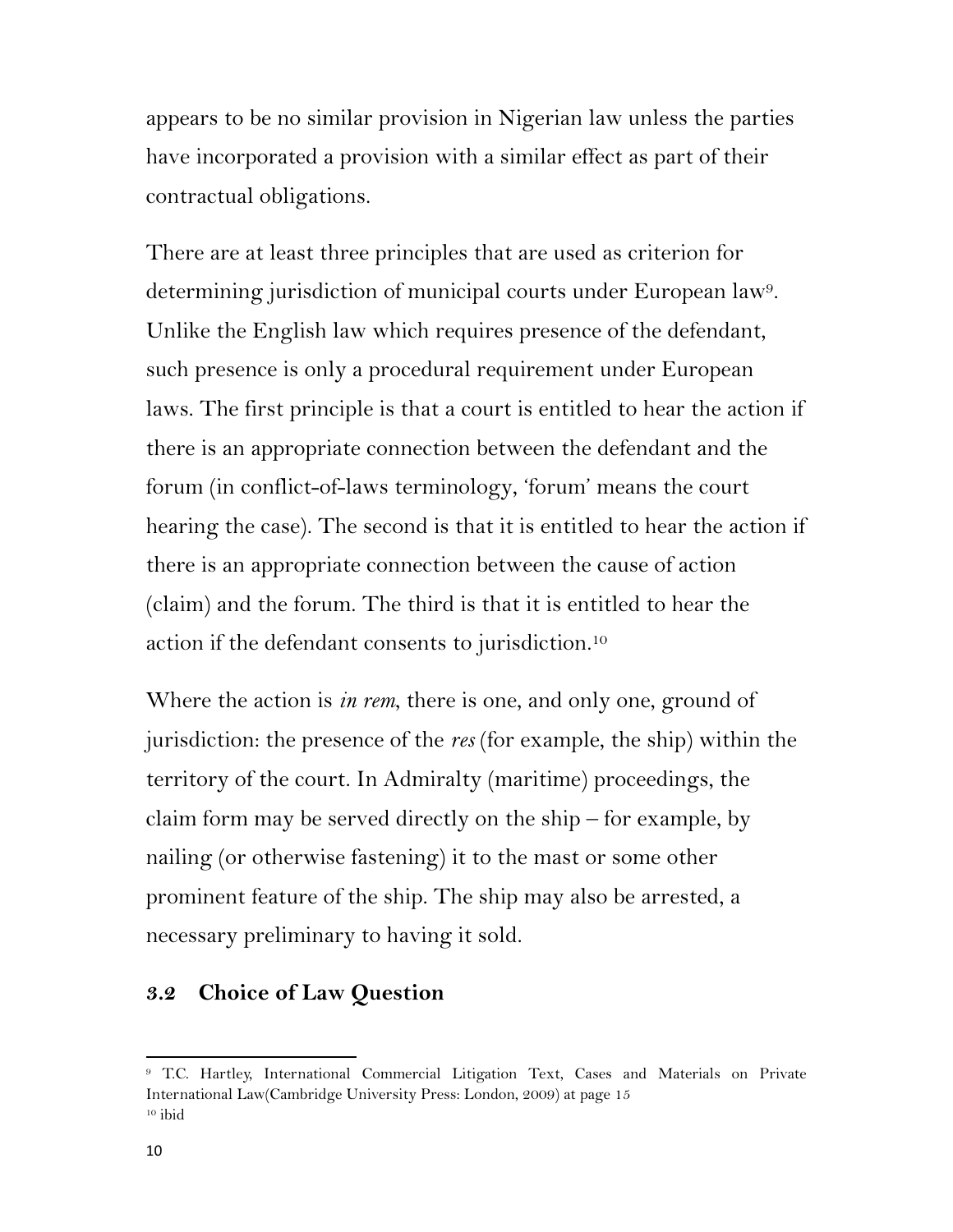appears to be no similar provision in Nigerian law unless the parties have incorporated a provision with a similar effect as part of their contractual obligations.

There are at least three principles that are used as criterion for determining jurisdiction of municipal courts under European law<sup>9</sup>. Unlike the English law which requires presence of the defendant, such presence is only a procedural requirement under European laws. The first principle is that a court is entitled to hear the action if there is an appropriate connection between the defendant and the forum (in conflict-of-laws terminology, 'forum' means the court hearing the case). The second is that it is entitled to hear the action if there is an appropriate connection between the cause of action (claim) and the forum. The third is that it is entitled to hear the action if the defendant consents to jurisdiction.10

Where the action is *in rem*, there is one, and only one, ground of jurisdiction: the presence of the *res* (for example, the ship) within the territory of the court. In Admiralty (maritime) proceedings, the claim form may be served directly on the ship – for example, by nailing (or otherwise fastening) it to the mast or some other prominent feature of the ship. The ship may also be arrested, a necessary preliminary to having it sold.

#### **3.2 Choice of Law Question**

 9 T.C. Hartley, International Commercial Litigation Text, Cases and Materials on Private International Law(Cambridge University Press: London, 2009) at page 15 10 ibid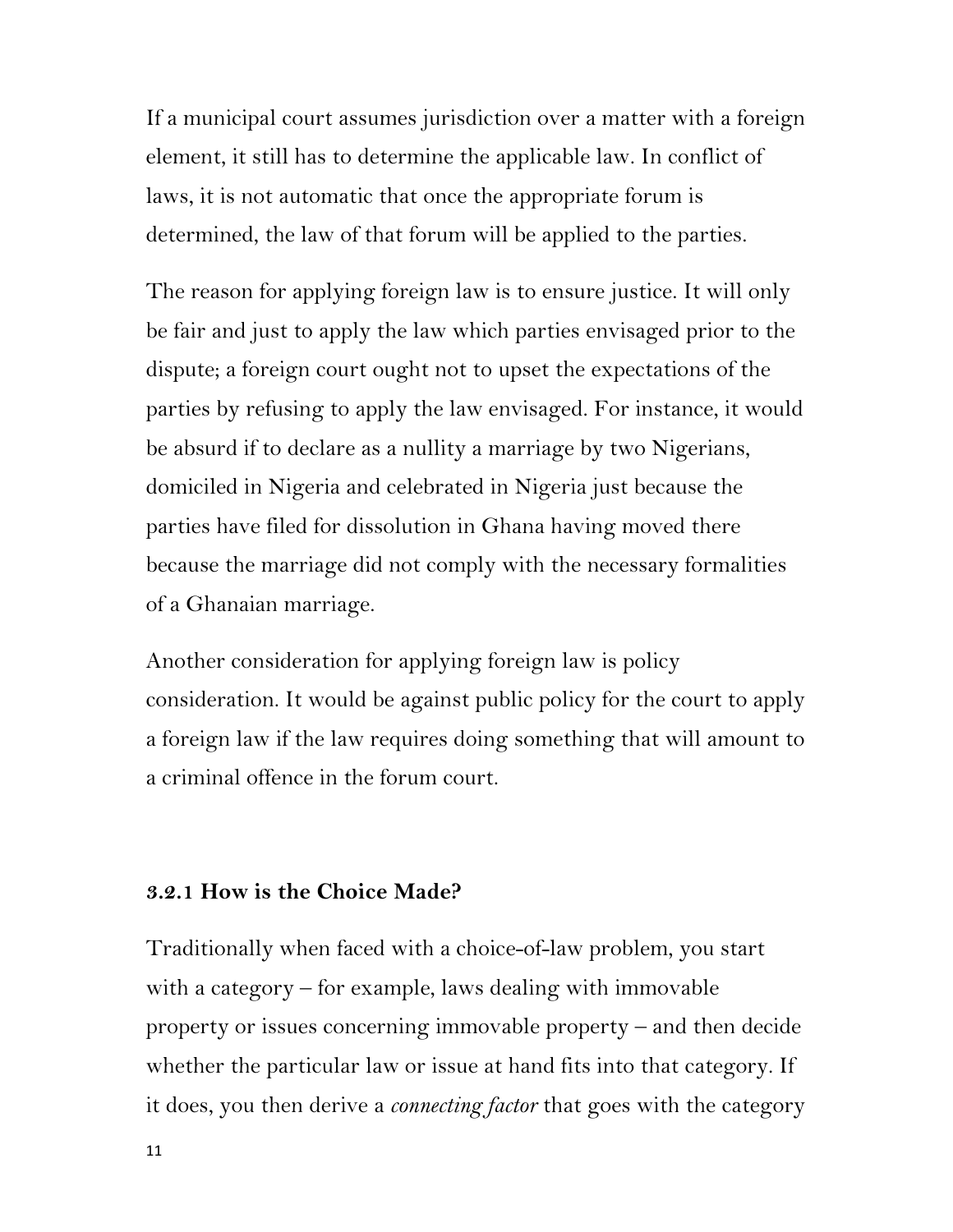If a municipal court assumes jurisdiction over a matter with a foreign element, it still has to determine the applicable law. In conflict of laws, it is not automatic that once the appropriate forum is determined, the law of that forum will be applied to the parties.

The reason for applying foreign law is to ensure justice. It will only be fair and just to apply the law which parties envisaged prior to the dispute; a foreign court ought not to upset the expectations of the parties by refusing to apply the law envisaged. For instance, it would be absurd if to declare as a nullity a marriage by two Nigerians, domiciled in Nigeria and celebrated in Nigeria just because the parties have filed for dissolution in Ghana having moved there because the marriage did not comply with the necessary formalities of a Ghanaian marriage.

Another consideration for applying foreign law is policy consideration. It would be against public policy for the court to apply a foreign law if the law requires doing something that will amount to a criminal offence in the forum court.

#### **3.2.1 How is the Choice Made?**

Traditionally when faced with a choice-of-law problem, you start with a category – for example, laws dealing with immovable property or issues concerning immovable property – and then decide whether the particular law or issue at hand fits into that category. If it does, you then derive a *connecting factor* that goes with the category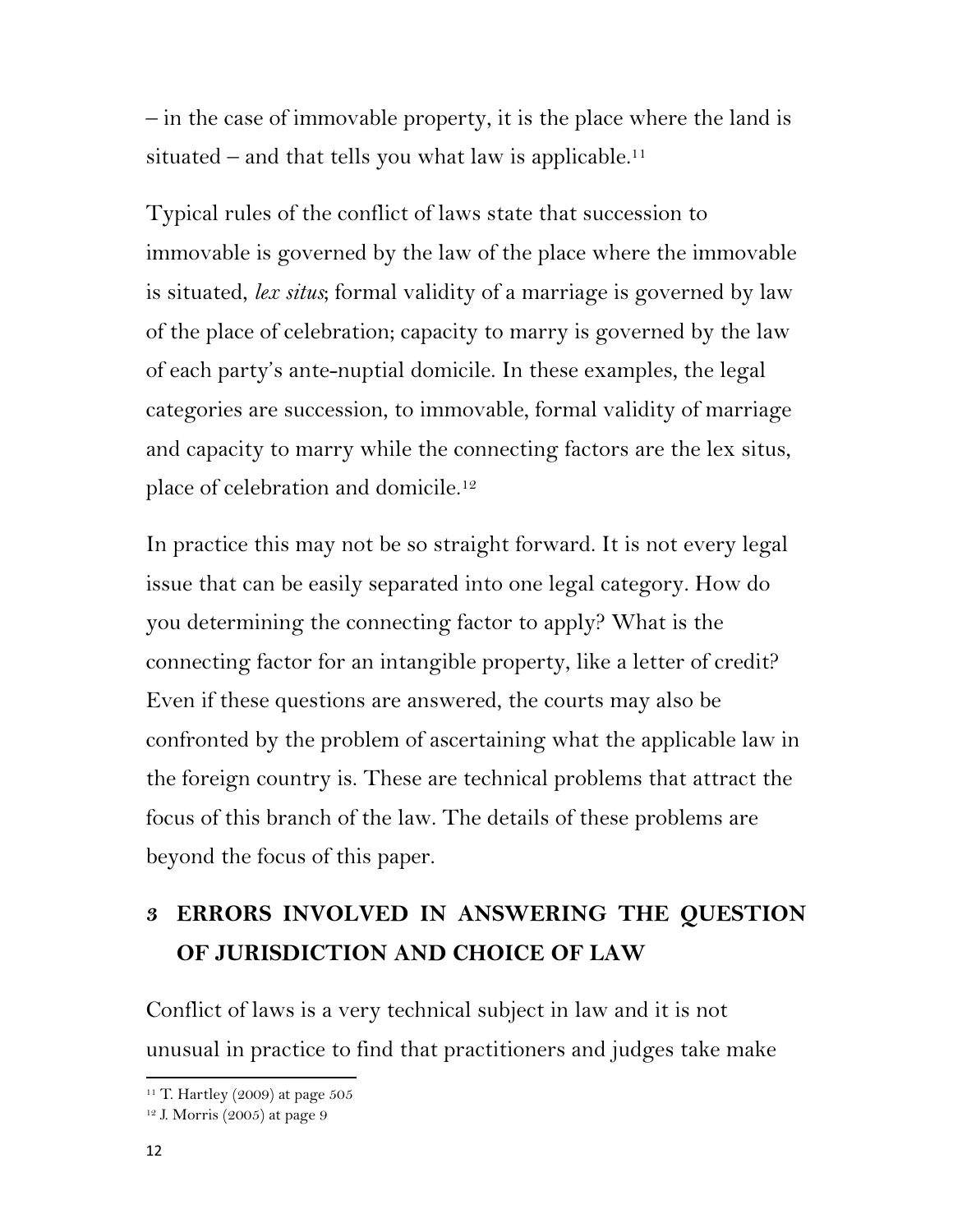– in the case of immovable property, it is the place where the land is situated – and that tells you what law is applicable.<sup>11</sup>

Typical rules of the conflict of laws state that succession to immovable is governed by the law of the place where the immovable is situated, *lex situs*; formal validity of a marriage is governed by law of the place of celebration; capacity to marry is governed by the law of each party's ante-nuptial domicile. In these examples, the legal categories are succession, to immovable, formal validity of marriage and capacity to marry while the connecting factors are the lex situs, place of celebration and domicile.12

In practice this may not be so straight forward. It is not every legal issue that can be easily separated into one legal category. How do you determining the connecting factor to apply? What is the connecting factor for an intangible property, like a letter of credit? Even if these questions are answered, the courts may also be confronted by the problem of ascertaining what the applicable law in the foreign country is. These are technical problems that attract the focus of this branch of the law. The details of these problems are beyond the focus of this paper.

## **3 ERRORS INVOLVED IN ANSWERING THE QUESTION OF JURISDICTION AND CHOICE OF LAW**

Conflict of laws is a very technical subject in law and it is not unusual in practice to find that practitioners and judges take make

 11 T. Hartley (2009) at page 505

<sup>12</sup> J. Morris (2005) at page 9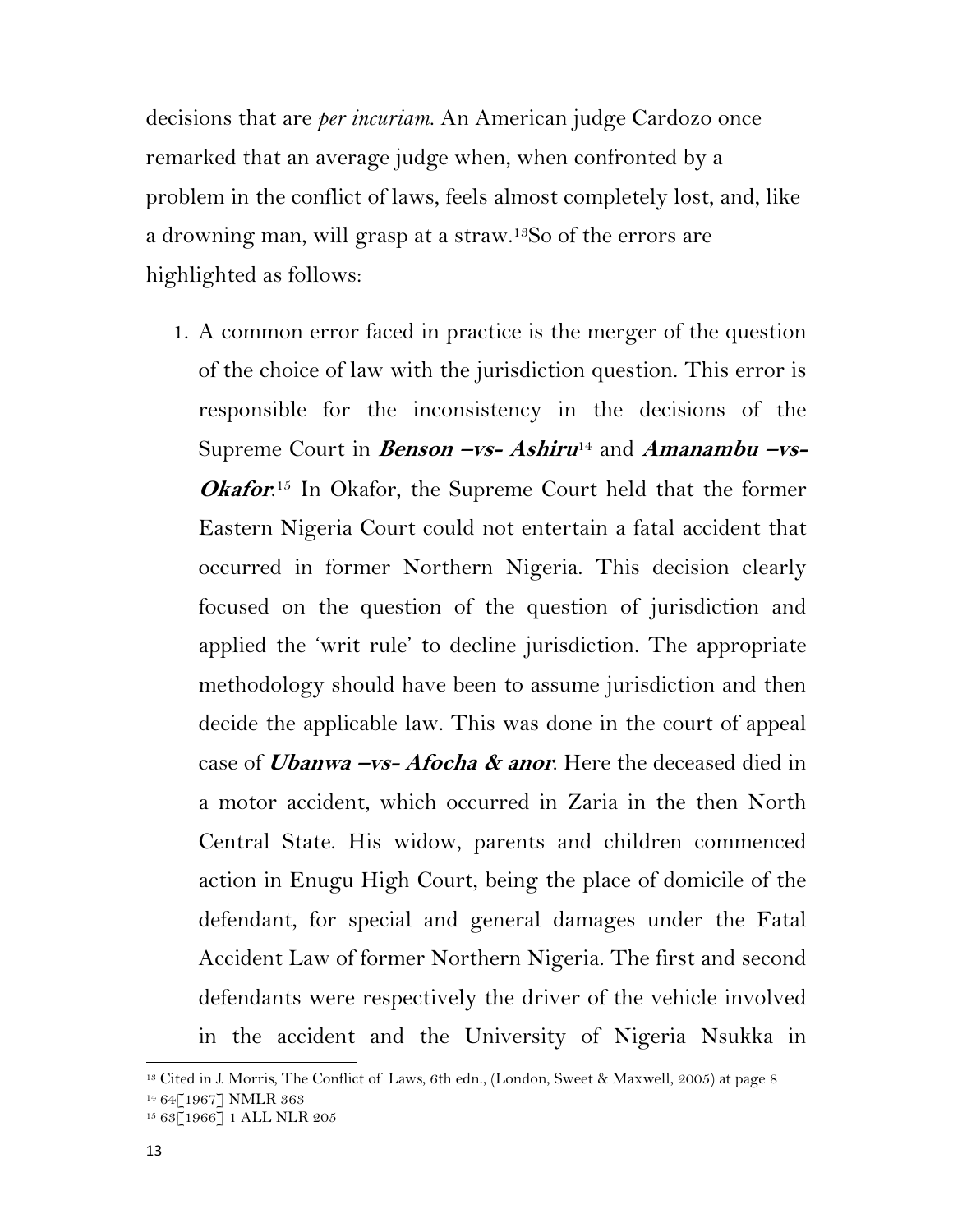decisions that are *per incuriam*. An American judge Cardozo once remarked that an average judge when, when confronted by a problem in the conflict of laws, feels almost completely lost, and, like a drowning man, will grasp at a straw.13So of the errors are highlighted as follows:

1. A common error faced in practice is the merger of the question of the choice of law with the jurisdiction question. This error is responsible for the inconsistency in the decisions of the Supreme Court in **Benson** -vs- Ashiru<sup>14</sup> and Amanambu -vs-**Okafor.**<sup>15</sup> In Okafor, the Supreme Court held that the former Eastern Nigeria Court could not entertain a fatal accident that occurred in former Northern Nigeria. This decision clearly focused on the question of the question of jurisdiction and applied the 'writ rule' to decline jurisdiction. The appropriate methodology should have been to assume jurisdiction and then decide the applicable law. This was done in the court of appeal case of **Ubanwa –vs- Afocha & anor**. Here the deceased died in a motor accident, which occurred in Zaria in the then North Central State. His widow, parents and children commenced action in Enugu High Court, being the place of domicile of the defendant, for special and general damages under the Fatal Accident Law of former Northern Nigeria. The first and second defendants were respectively the driver of the vehicle involved in the accident and the University of Nigeria Nsukka in

<sup>13</sup> Cited in J. Morris, The Conflict of Laws, 6th edn., (London, Sweet & Maxwell, 2005) at page 8

<sup>14 64[1967]</sup> NMLR 363

<sup>&</sup>lt;sup>15</sup> 63<sup>[1966]</sup> 1 ALL NLR 205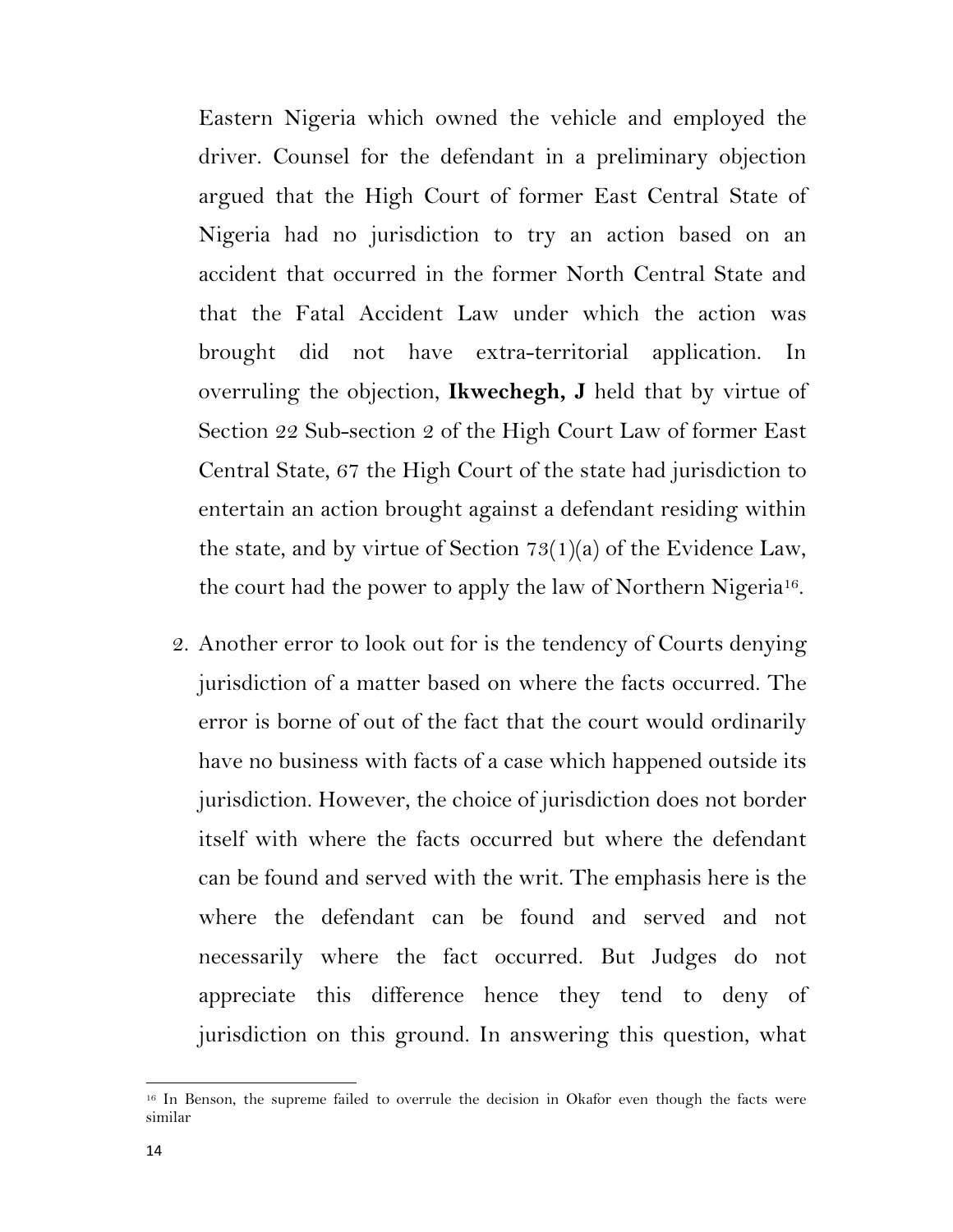Eastern Nigeria which owned the vehicle and employed the driver. Counsel for the defendant in a preliminary objection argued that the High Court of former East Central State of Nigeria had no jurisdiction to try an action based on an accident that occurred in the former North Central State and that the Fatal Accident Law under which the action was brought did not have extra-territorial application. In overruling the objection, **Ikwechegh, J** held that by virtue of Section 22 Sub-section 2 of the High Court Law of former East Central State, 67 the High Court of the state had jurisdiction to entertain an action brought against a defendant residing within the state, and by virtue of Section  $73(1)(a)$  of the Evidence Law, the court had the power to apply the law of Northern Nigeria<sup>16</sup>.

2. Another error to look out for is the tendency of Courts denying jurisdiction of a matter based on where the facts occurred. The error is borne of out of the fact that the court would ordinarily have no business with facts of a case which happened outside its jurisdiction. However, the choice of jurisdiction does not border itself with where the facts occurred but where the defendant can be found and served with the writ. The emphasis here is the where the defendant can be found and served and not necessarily where the fact occurred. But Judges do not appreciate this difference hence they tend to deny of jurisdiction on this ground. In answering this question, what

<sup>&</sup>lt;sup>16</sup> In Benson, the supreme failed to overrule the decision in Okafor even though the facts were similar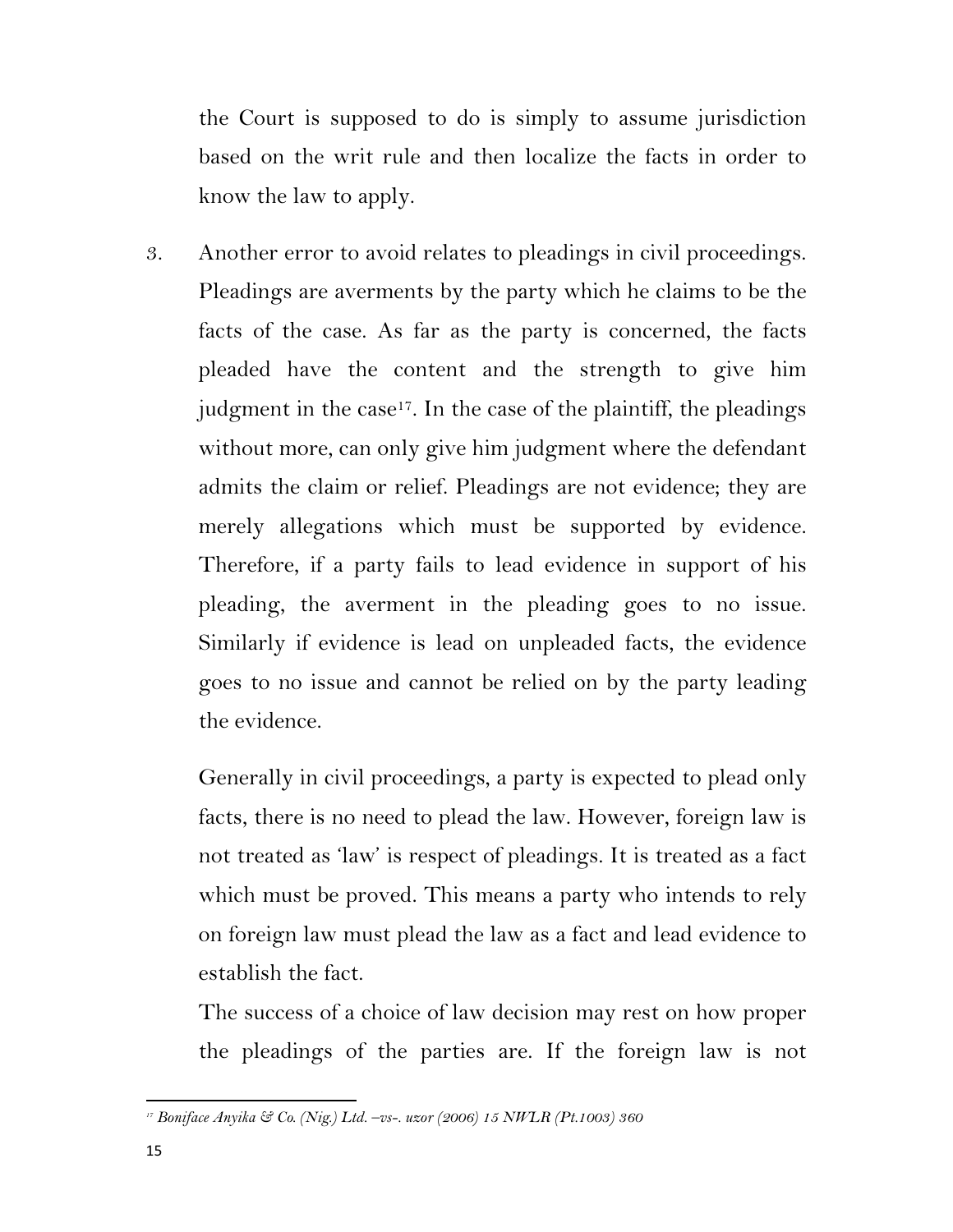the Court is supposed to do is simply to assume jurisdiction based on the writ rule and then localize the facts in order to know the law to apply.

3. Another error to avoid relates to pleadings in civil proceedings. Pleadings are averments by the party which he claims to be the facts of the case. As far as the party is concerned, the facts pleaded have the content and the strength to give him judgment in the case<sup>17</sup>. In the case of the plaintiff, the pleadings without more, can only give him judgment where the defendant admits the claim or relief. Pleadings are not evidence; they are merely allegations which must be supported by evidence. Therefore, if a party fails to lead evidence in support of his pleading, the averment in the pleading goes to no issue. Similarly if evidence is lead on unpleaded facts, the evidence goes to no issue and cannot be relied on by the party leading the evidence.

Generally in civil proceedings, a party is expected to plead only facts, there is no need to plead the law. However, foreign law is not treated as 'law' is respect of pleadings. It is treated as a fact which must be proved. This means a party who intends to rely on foreign law must plead the law as a fact and lead evidence to establish the fact.

The success of a choice of law decision may rest on how proper the pleadings of the parties are. If the foreign law is not

 *17 Boniface Anyika & Co. (Nig.) Ltd. –vs-. uzor (2006) 15 NWLR (Pt.1003) 360*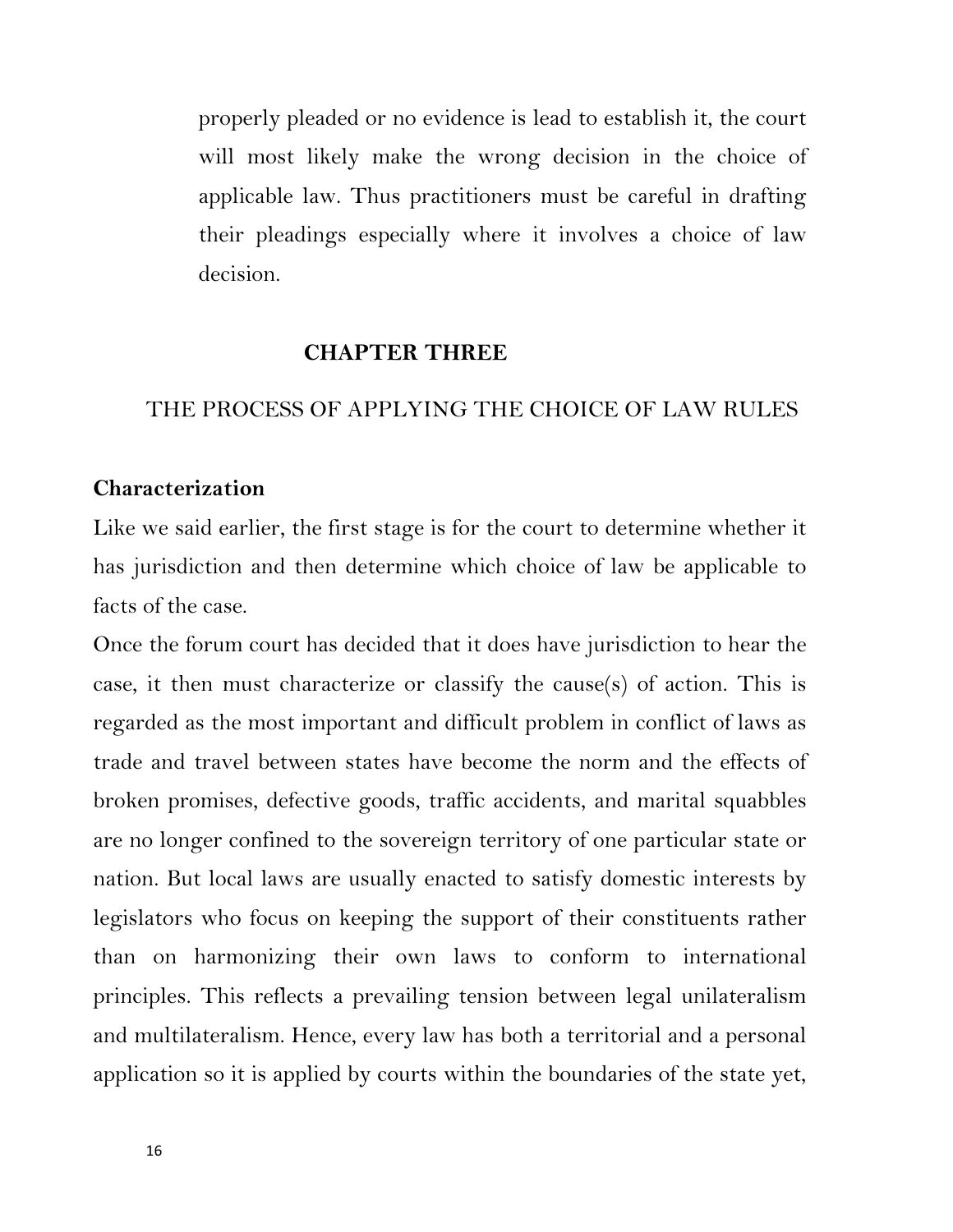properly pleaded or no evidence is lead to establish it, the court will most likely make the wrong decision in the choice of applicable law. Thus practitioners must be careful in drafting their pleadings especially where it involves a choice of law decision.

#### **CHAPTER THREE**

#### THE PROCESS OF APPLYING THE CHOICE OF LAW RULES

#### **Characterization**

Like we said earlier, the first stage is for the court to determine whether it has jurisdiction and then determine which choice of law be applicable to facts of the case.

Once the forum court has decided that it does have jurisdiction to hear the case, it then must characterize or classify the cause(s) of action. This is regarded as the most important and difficult problem in conflict of laws as trade and travel between states have become the norm and the effects of broken promises, defective goods, traffic accidents, and marital squabbles are no longer confined to the sovereign territory of one particular state or nation. But local laws are usually enacted to satisfy domestic interests by legislators who focus on keeping the support of their constituents rather than on harmonizing their own laws to conform to international principles. This reflects a prevailing tension between legal unilateralism and multilateralism. Hence, every law has both a territorial and a personal application so it is applied by courts within the boundaries of the state yet,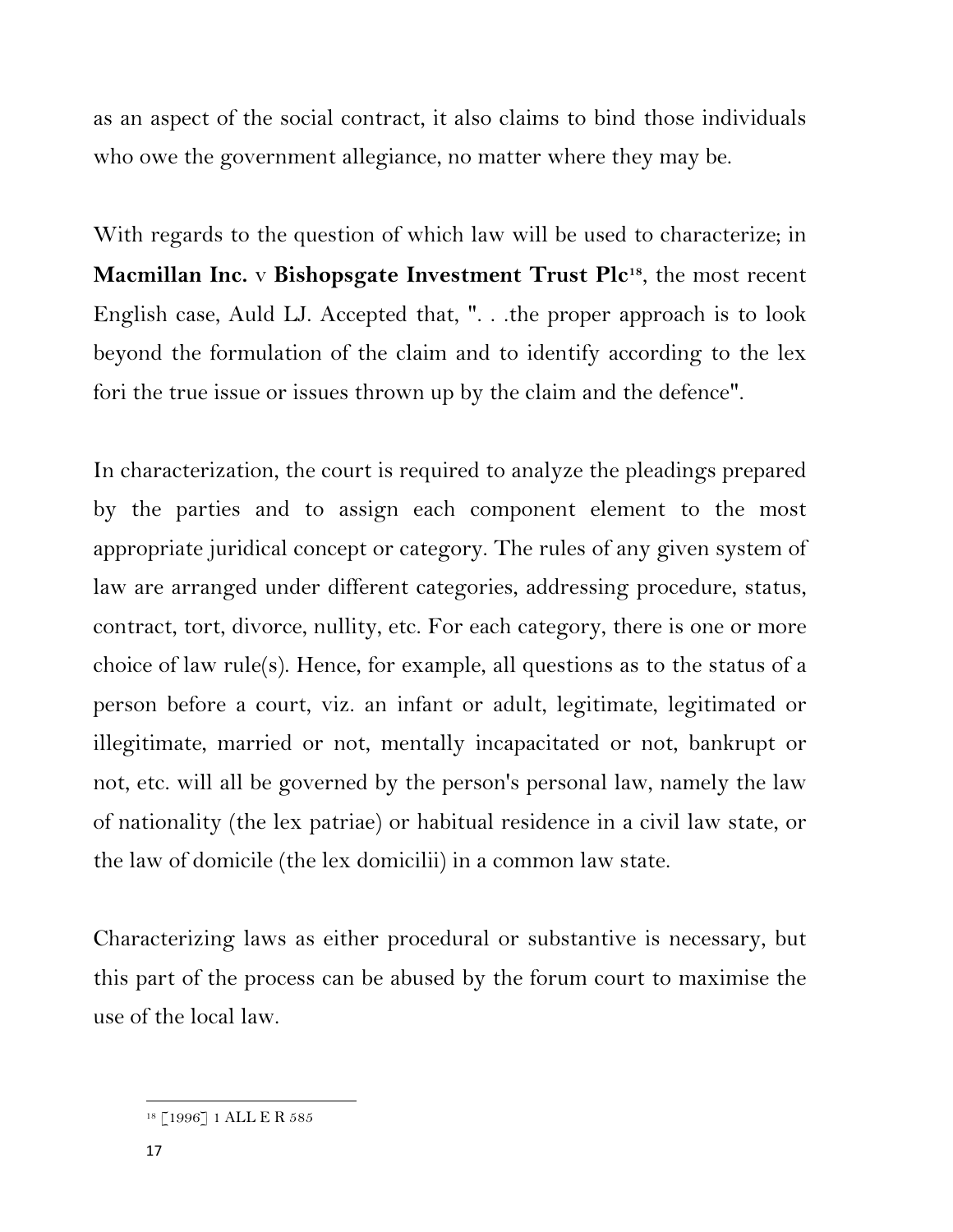as an aspect of the social contract, it also claims to bind those individuals who owe the government allegiance, no matter where they may be.

With regards to the question of which law will be used to characterize; in **Macmillan Inc.** v **Bishopsgate Investment Trust Plc18**, the most recent English case, Auld LJ. Accepted that, ". . .the proper approach is to look beyond the formulation of the claim and to identify according to the lex fori the true issue or issues thrown up by the claim and the defence".

In characterization, the court is required to analyze the pleadings prepared by the parties and to assign each component element to the most appropriate juridical concept or category. The rules of any given system of law are arranged under different categories, addressing procedure, status, contract, tort, divorce, nullity, etc. For each category, there is one or more choice of law rule(s). Hence, for example, all questions as to the status of a person before a court, viz. an infant or adult, legitimate, legitimated or illegitimate, married or not, mentally incapacitated or not, bankrupt or not, etc. will all be governed by the person's personal law, namely the law of nationality (the lex patriae) or habitual residence in a civil law state, or the law of domicile (the lex domicilii) in a common law state.

Characterizing laws as either procedural or substantive is necessary, but this part of the process can be abused by the forum court to maximise the use of the local law.

<sup>18 [1996] 1</sup> ALL E R 585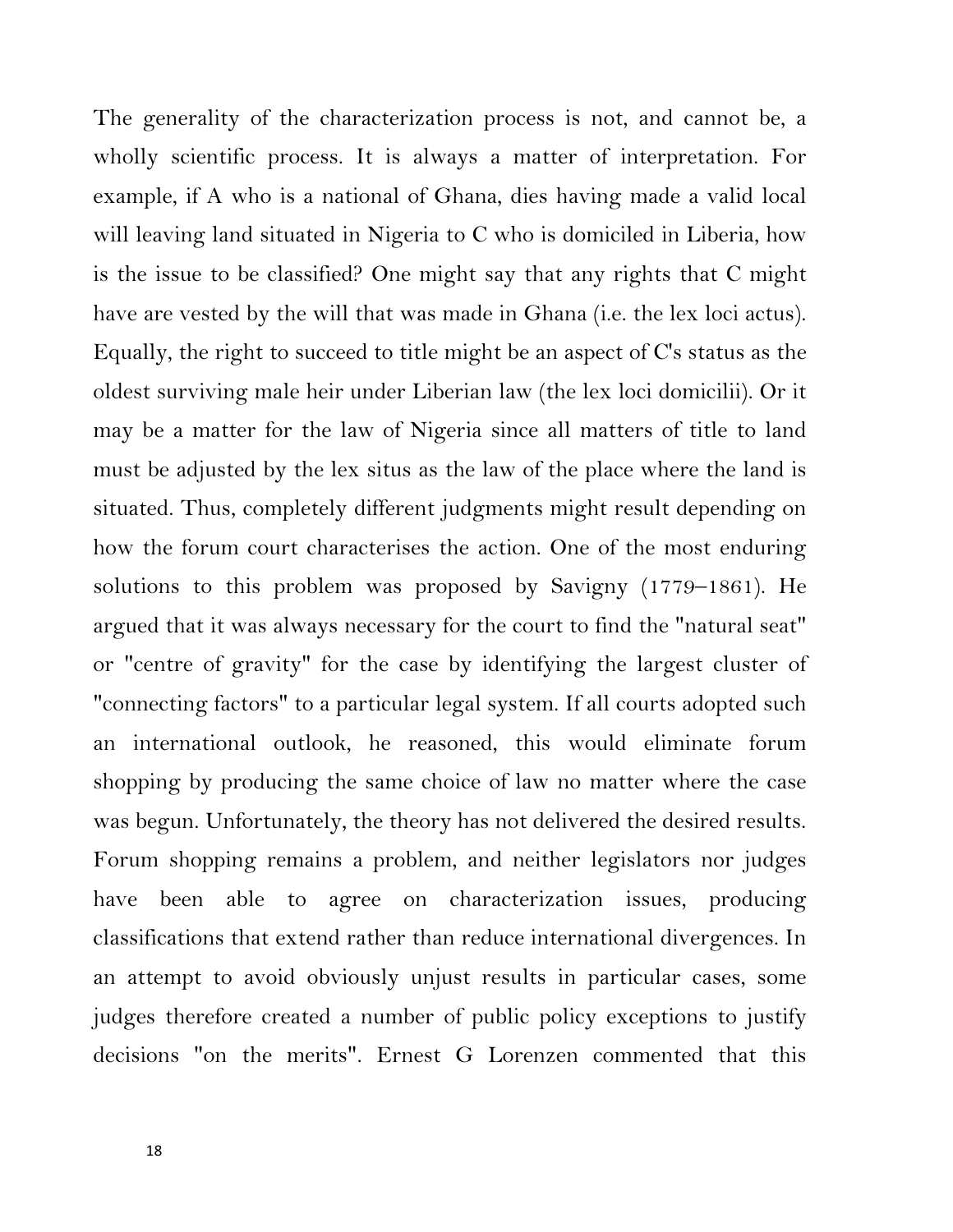The generality of the characterization process is not, and cannot be, a wholly scientific process. It is always a matter of interpretation. For example, if A who is a national of Ghana, dies having made a valid local will leaving land situated in Nigeria to C who is domiciled in Liberia, how is the issue to be classified? One might say that any rights that C might have are vested by the will that was made in Ghana (i.e. the lex loci actus). Equally, the right to succeed to title might be an aspect of C's status as the oldest surviving male heir under Liberian law (the lex loci domicilii). Or it may be a matter for the law of Nigeria since all matters of title to land must be adjusted by the lex situs as the law of the place where the land is situated. Thus, completely different judgments might result depending on how the forum court characterises the action. One of the most enduring solutions to this problem was proposed by Savigny (1779–1861). He argued that it was always necessary for the court to find the "natural seat" or "centre of gravity" for the case by identifying the largest cluster of "connecting factors" to a particular legal system. If all courts adopted such an international outlook, he reasoned, this would eliminate forum shopping by producing the same choice of law no matter where the case was begun. Unfortunately, the theory has not delivered the desired results. Forum shopping remains a problem, and neither legislators nor judges have been able to agree on characterization issues, producing classifications that extend rather than reduce international divergences. In an attempt to avoid obviously unjust results in particular cases, some judges therefore created a number of public policy exceptions to justify decisions "on the merits". Ernest G Lorenzen commented that this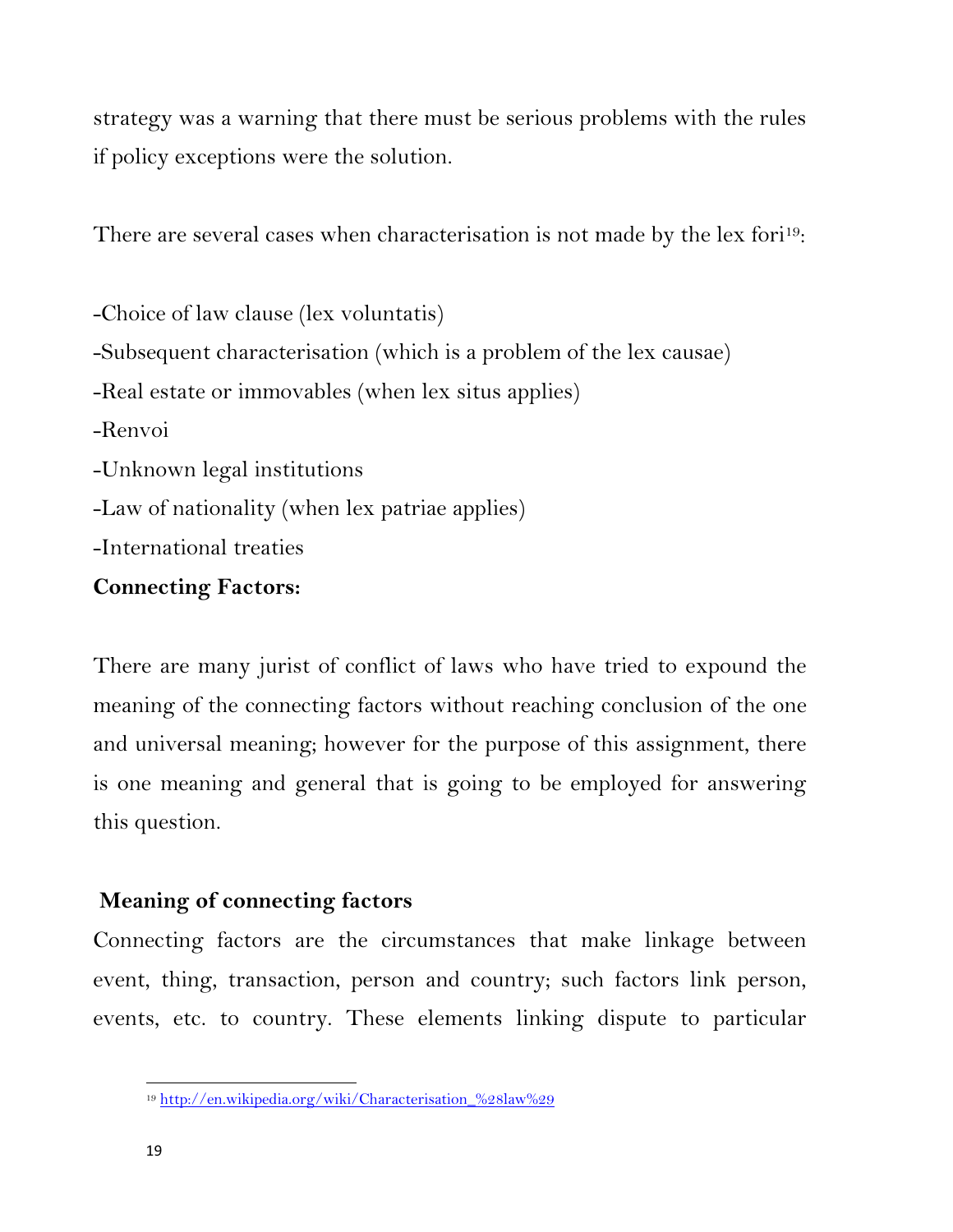strategy was a warning that there must be serious problems with the rules if policy exceptions were the solution.

There are several cases when characterisation is not made by the lex fori<sup>19</sup>:

-Choice of law clause (lex voluntatis) -Subsequent characterisation (which is a problem of the lex causae) -Real estate or immovables (when lex situs applies) -Renvoi -Unknown legal institutions -Law of nationality (when lex patriae applies) -International treaties

### **Connecting Factors:**

There are many jurist of conflict of laws who have tried to expound the meaning of the connecting factors without reaching conclusion of the one and universal meaning; however for the purpose of this assignment, there is one meaning and general that is going to be employed for answering this question.

### **Meaning of connecting factors**

Connecting factors are the circumstances that make linkage between event, thing, transaction, person and country; such factors link person, events, etc. to country. These elements linking dispute to particular

 <sup>19</sup> http://en.wikipedia.org/wiki/Characterisation\_%28law%29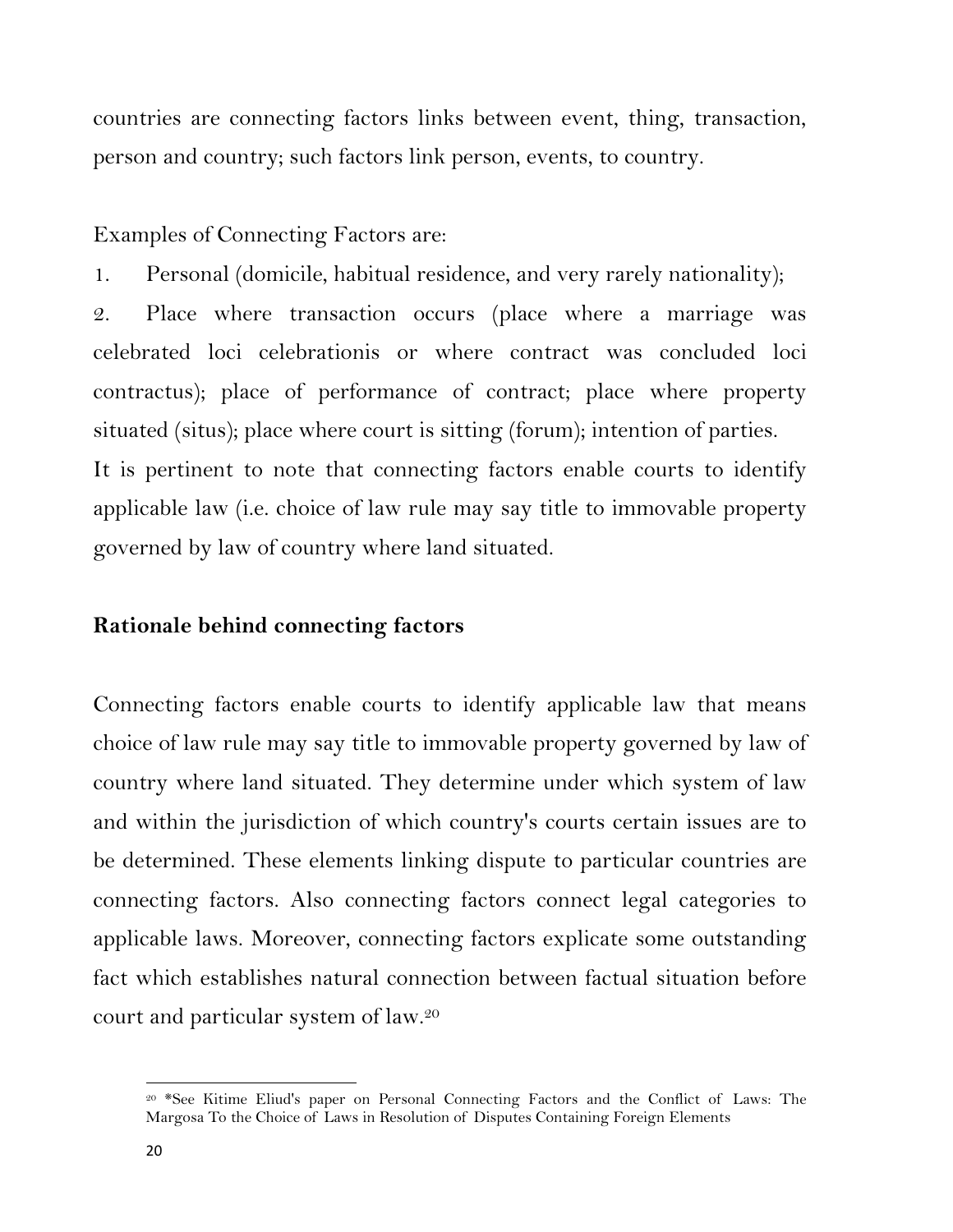countries are connecting factors links between event, thing, transaction, person and country; such factors link person, events, to country.

Examples of Connecting Factors are:

1. Personal (domicile, habitual residence, and very rarely nationality);

2. Place where transaction occurs (place where a marriage was celebrated loci celebrationis or where contract was concluded loci contractus); place of performance of contract; place where property situated (situs); place where court is sitting (forum); intention of parties. It is pertinent to note that connecting factors enable courts to identify applicable law (i.e. choice of law rule may say title to immovable property governed by law of country where land situated.

#### **Rationale behind connecting factors**

Connecting factors enable courts to identify applicable law that means choice of law rule may say title to immovable property governed by law of country where land situated. They determine under which system of law and within the jurisdiction of which country's courts certain issues are to be determined. These elements linking dispute to particular countries are connecting factors. Also connecting factors connect legal categories to applicable laws. Moreover, connecting factors explicate some outstanding fact which establishes natural connection between factual situation before court and particular system of law.20

<sup>20 \*</sup>See Kitime Eliud's paper on Personal Connecting Factors and the Conflict of Laws: The Margosa To the Choice of Laws in Resolution of Disputes Containing Foreign Elements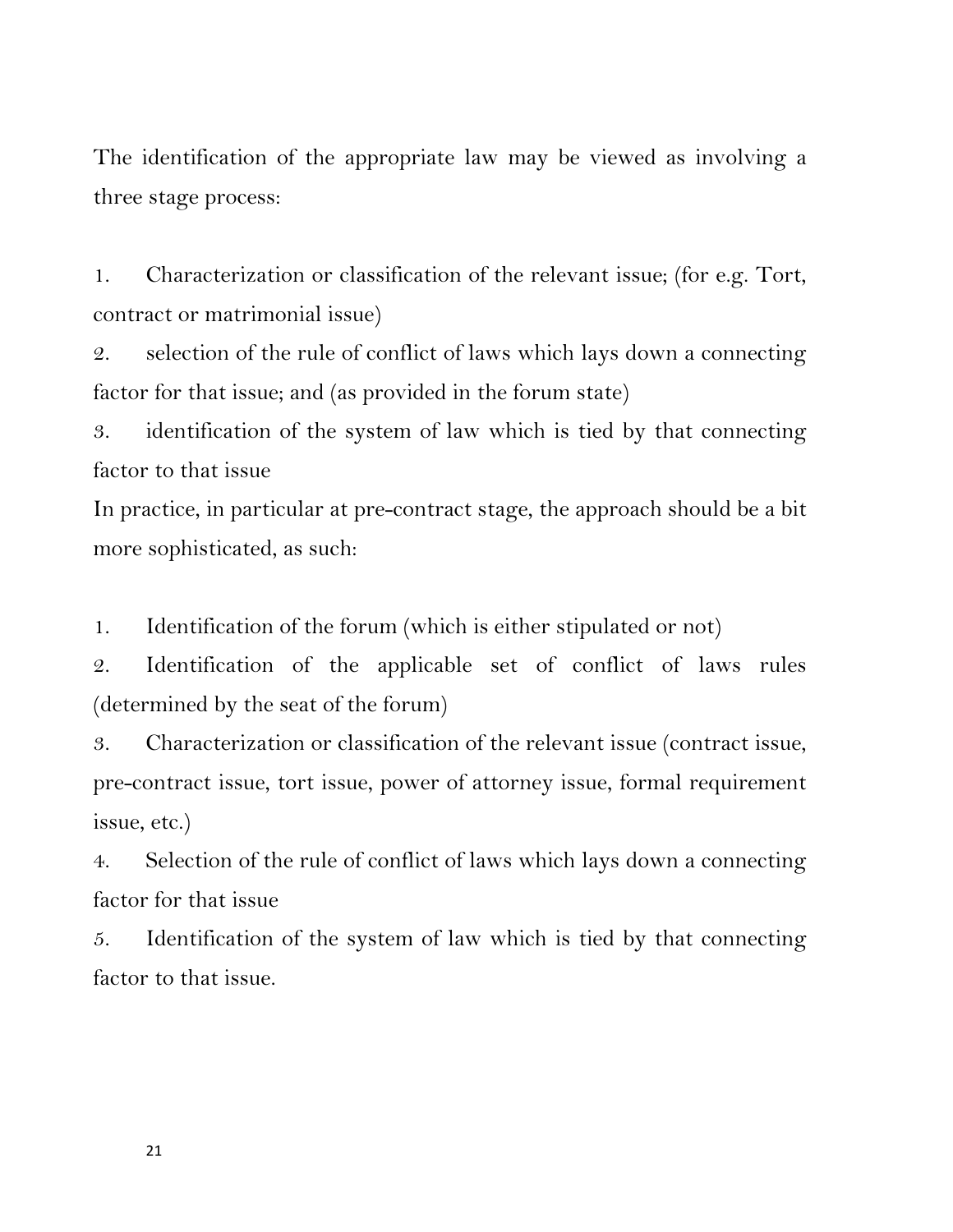The identification of the appropriate law may be viewed as involving a three stage process:

1. Characterization or classification of the relevant issue; (for e.g. Tort, contract or matrimonial issue)

2. selection of the rule of conflict of laws which lays down a connecting factor for that issue; and (as provided in the forum state)

3. identification of the system of law which is tied by that connecting factor to that issue

In practice, in particular at pre-contract stage, the approach should be a bit more sophisticated, as such:

1. Identification of the forum (which is either stipulated or not)

2. Identification of the applicable set of conflict of laws rules (determined by the seat of the forum)

3. Characterization or classification of the relevant issue (contract issue, pre-contract issue, tort issue, power of attorney issue, formal requirement issue, etc.)

4. Selection of the rule of conflict of laws which lays down a connecting factor for that issue

5. Identification of the system of law which is tied by that connecting factor to that issue.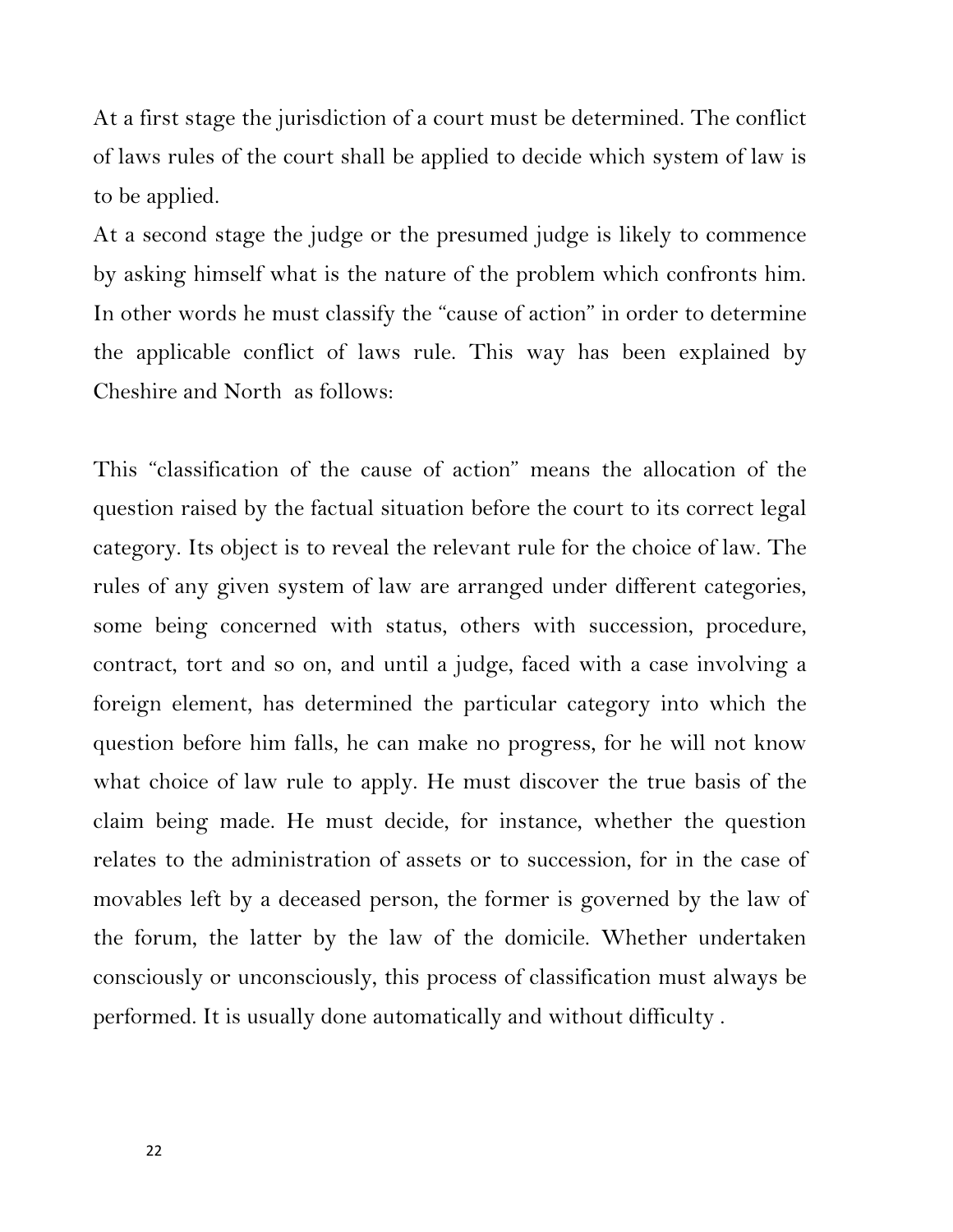At a first stage the jurisdiction of a court must be determined. The conflict of laws rules of the court shall be applied to decide which system of law is to be applied.

At a second stage the judge or the presumed judge is likely to commence by asking himself what is the nature of the problem which confronts him. In other words he must classify the "cause of action" in order to determine the applicable conflict of laws rule. This way has been explained by Cheshire and North as follows:

This "classification of the cause of action" means the allocation of the question raised by the factual situation before the court to its correct legal category. Its object is to reveal the relevant rule for the choice of law. The rules of any given system of law are arranged under different categories, some being concerned with status, others with succession, procedure, contract, tort and so on, and until a judge, faced with a case involving a foreign element, has determined the particular category into which the question before him falls, he can make no progress, for he will not know what choice of law rule to apply. He must discover the true basis of the claim being made. He must decide, for instance, whether the question relates to the administration of assets or to succession, for in the case of movables left by a deceased person, the former is governed by the law of the forum, the latter by the law of the domicile. Whether undertaken consciously or unconsciously, this process of classification must always be performed. It is usually done automatically and without difficulty .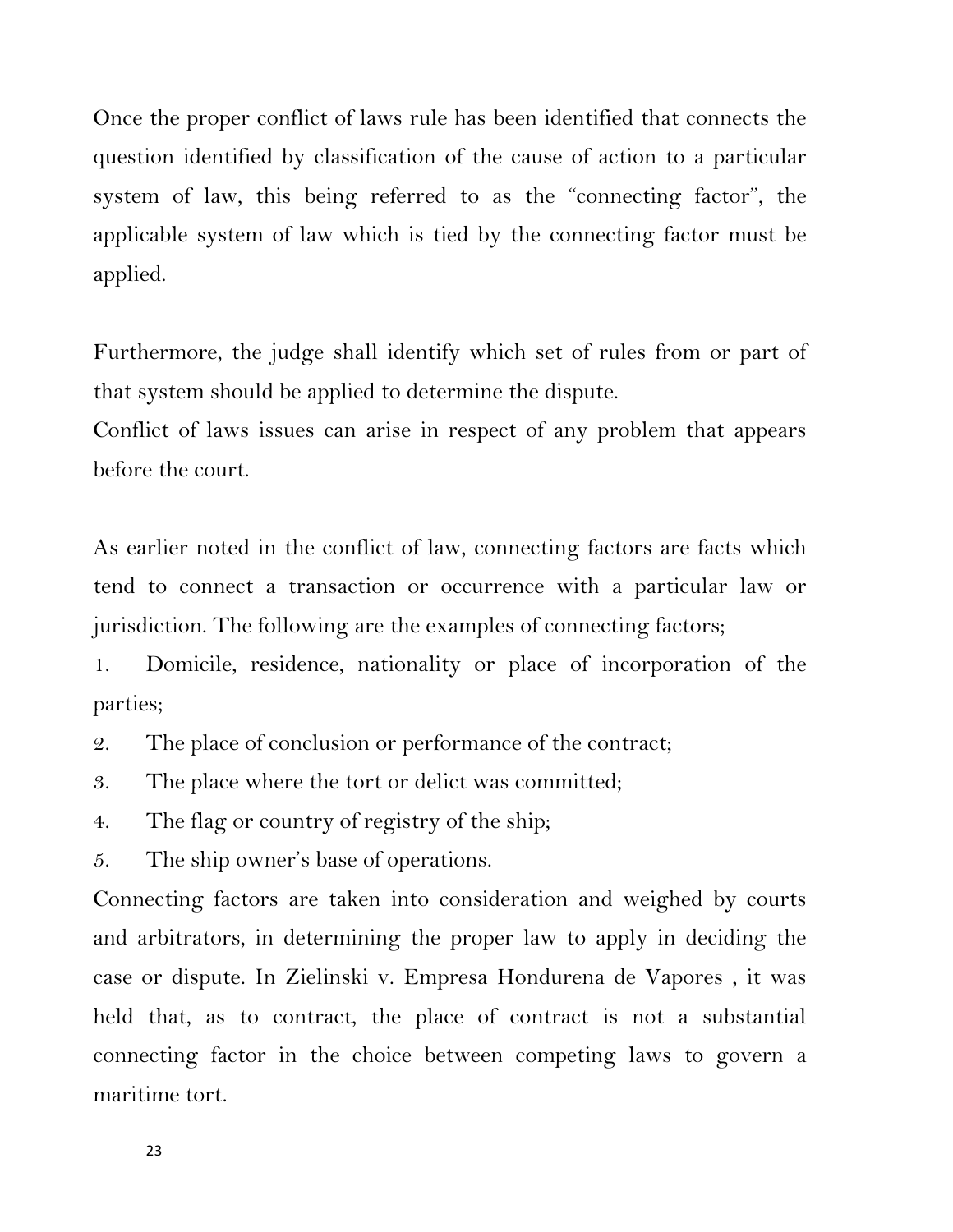Once the proper conflict of laws rule has been identified that connects the question identified by classification of the cause of action to a particular system of law, this being referred to as the "connecting factor", the applicable system of law which is tied by the connecting factor must be applied.

Furthermore, the judge shall identify which set of rules from or part of that system should be applied to determine the dispute.

Conflict of laws issues can arise in respect of any problem that appears before the court.

As earlier noted in the conflict of law, connecting factors are facts which tend to connect a transaction or occurrence with a particular law or jurisdiction. The following are the examples of connecting factors;

1. Domicile, residence, nationality or place of incorporation of the parties;

- 2. The place of conclusion or performance of the contract;
- 3. The place where the tort or delict was committed;
- 4. The flag or country of registry of the ship;
- 5. The ship owner's base of operations.

Connecting factors are taken into consideration and weighed by courts and arbitrators, in determining the proper law to apply in deciding the case or dispute. In Zielinski v. Empresa Hondurena de Vapores , it was held that, as to contract, the place of contract is not a substantial connecting factor in the choice between competing laws to govern a maritime tort.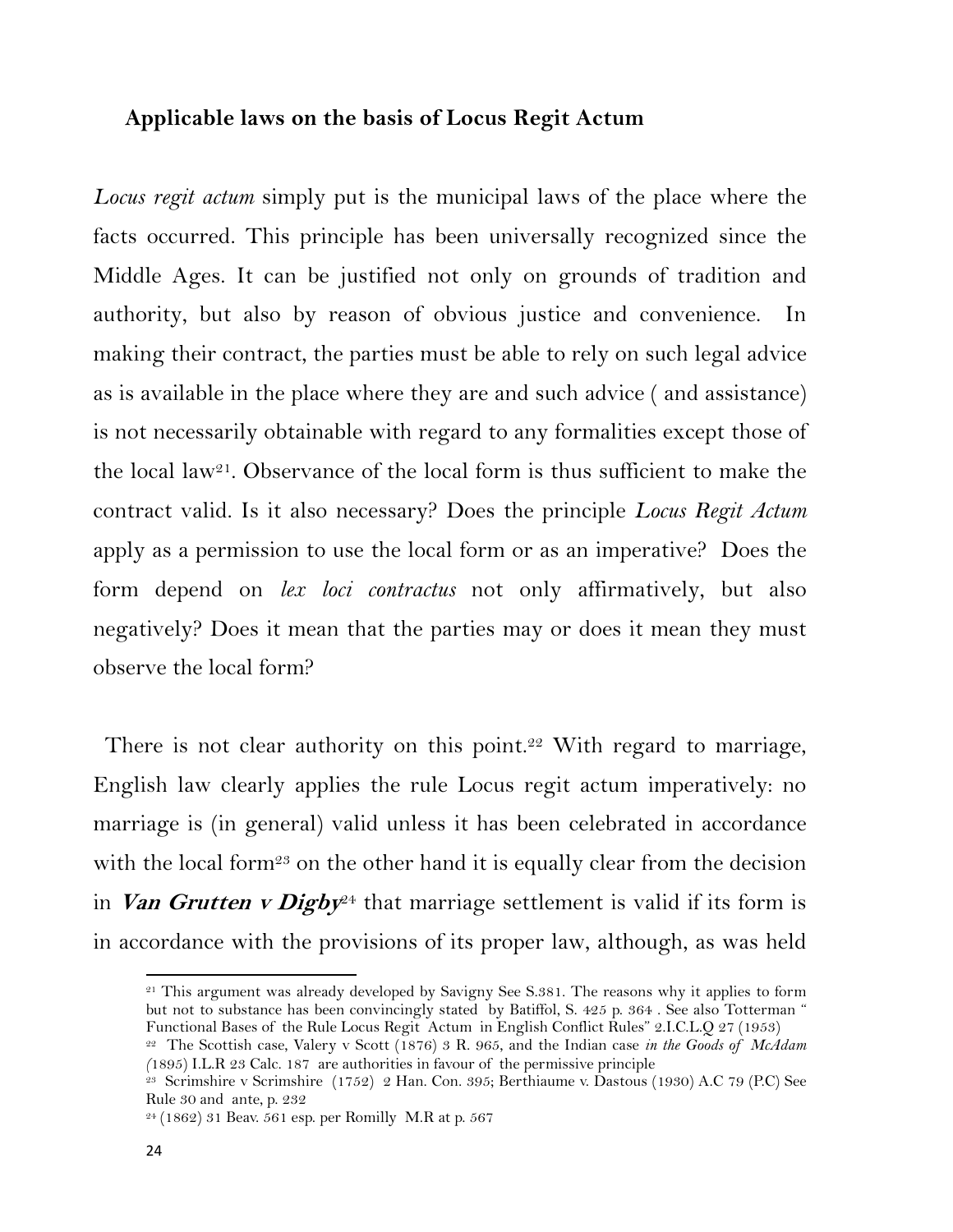#### **Applicable laws on the basis of Locus Regit Actum**

*Locus regit actum* simply put is the municipal laws of the place where the facts occurred. This principle has been universally recognized since the Middle Ages. It can be justified not only on grounds of tradition and authority, but also by reason of obvious justice and convenience. In making their contract, the parties must be able to rely on such legal advice as is available in the place where they are and such advice ( and assistance) is not necessarily obtainable with regard to any formalities except those of the local law<sup>21</sup>. Observance of the local form is thus sufficient to make the contract valid. Is it also necessary? Does the principle *Locus Regit Actum* apply as a permission to use the local form or as an imperative? Does the form depend on *lex loci contractus* not only affirmatively, but also negatively? Does it mean that the parties may or does it mean they must observe the local form?

There is not clear authority on this point.<sup>22</sup> With regard to marriage, English law clearly applies the rule Locus regit actum imperatively: no marriage is (in general) valid unless it has been celebrated in accordance with the local form<sup>23</sup> on the other hand it is equally clear from the decision in **Van Grutten v Digby**<sup>24</sup> that marriage settlement is valid if its form is in accordance with the provisions of its proper law, although, as was held

<sup>&</sup>lt;sup>21</sup> This argument was already developed by Savigny See S.381. The reasons why it applies to form but not to substance has been convincingly stated by Batiffol, S. 425 p. 364 . See also Totterman "

Functional Bases of the Rule Locus Regit Actum in English Conflict Rules" 2.I.C.L.Q 27 (1953) 22 The Scottish case, Valery v Scott (1876) 3 R. 965, and the Indian case *in the Goods of McAdam (*1895) I.L.R 23 Calc. 187 are authorities in favour of the permissive principle

<sup>23</sup> Scrimshire v Scrimshire (1752) 2 Han. Con. 395; Berthiaume v. Dastous (1930) A.C 79 (P.C) See Rule 30 and ante, p. 232

<sup>24 (1862) 31</sup> Beav. 561 esp. per Romilly M.R at p. 567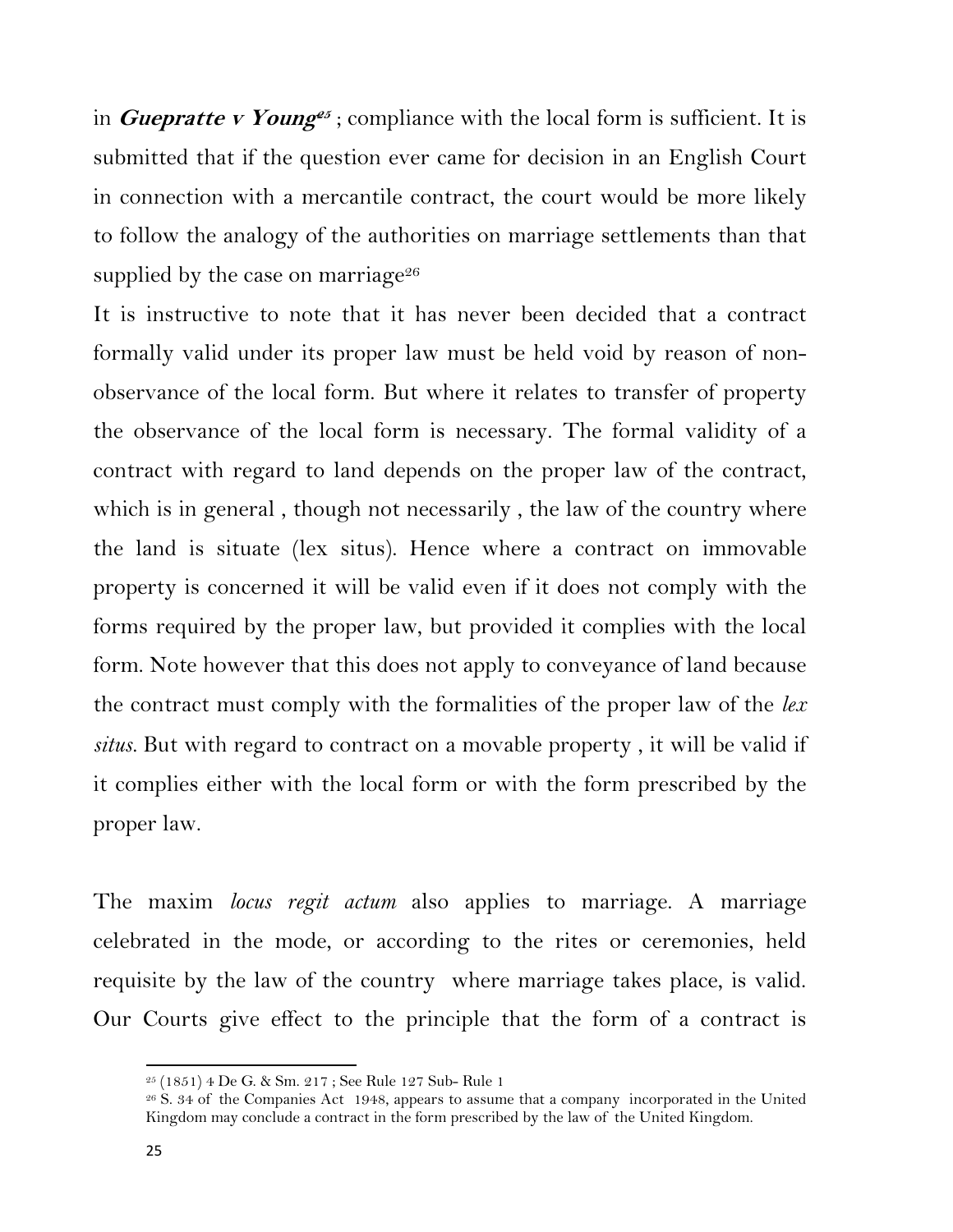in **Guepratte v Young**<sup>25</sup>; compliance with the local form is sufficient. It is submitted that if the question ever came for decision in an English Court in connection with a mercantile contract, the court would be more likely to follow the analogy of the authorities on marriage settlements than that supplied by the case on marriage $26$ 

It is instructive to note that it has never been decided that a contract formally valid under its proper law must be held void by reason of nonobservance of the local form. But where it relates to transfer of property the observance of the local form is necessary. The formal validity of a contract with regard to land depends on the proper law of the contract, which is in general , though not necessarily , the law of the country where the land is situate (lex situs). Hence where a contract on immovable property is concerned it will be valid even if it does not comply with the forms required by the proper law, but provided it complies with the local form. Note however that this does not apply to conveyance of land because the contract must comply with the formalities of the proper law of the *lex situs.* But with regard to contract on a movable property , it will be valid if it complies either with the local form or with the form prescribed by the proper law.

The maxim *locus regit actum* also applies to marriage. A marriage celebrated in the mode, or according to the rites or ceremonies, held requisite by the law of the country where marriage takes place, is valid. Our Courts give effect to the principle that the form of a contract is

<sup>25 (1851) 4</sup> De G. & Sm. 217 ; See Rule 127 Sub- Rule 1

<sup>&</sup>lt;sup>26</sup> S. 34 of the Companies Act 1948, appears to assume that a company incorporated in the United Kingdom may conclude a contract in the form prescribed by the law of the United Kingdom.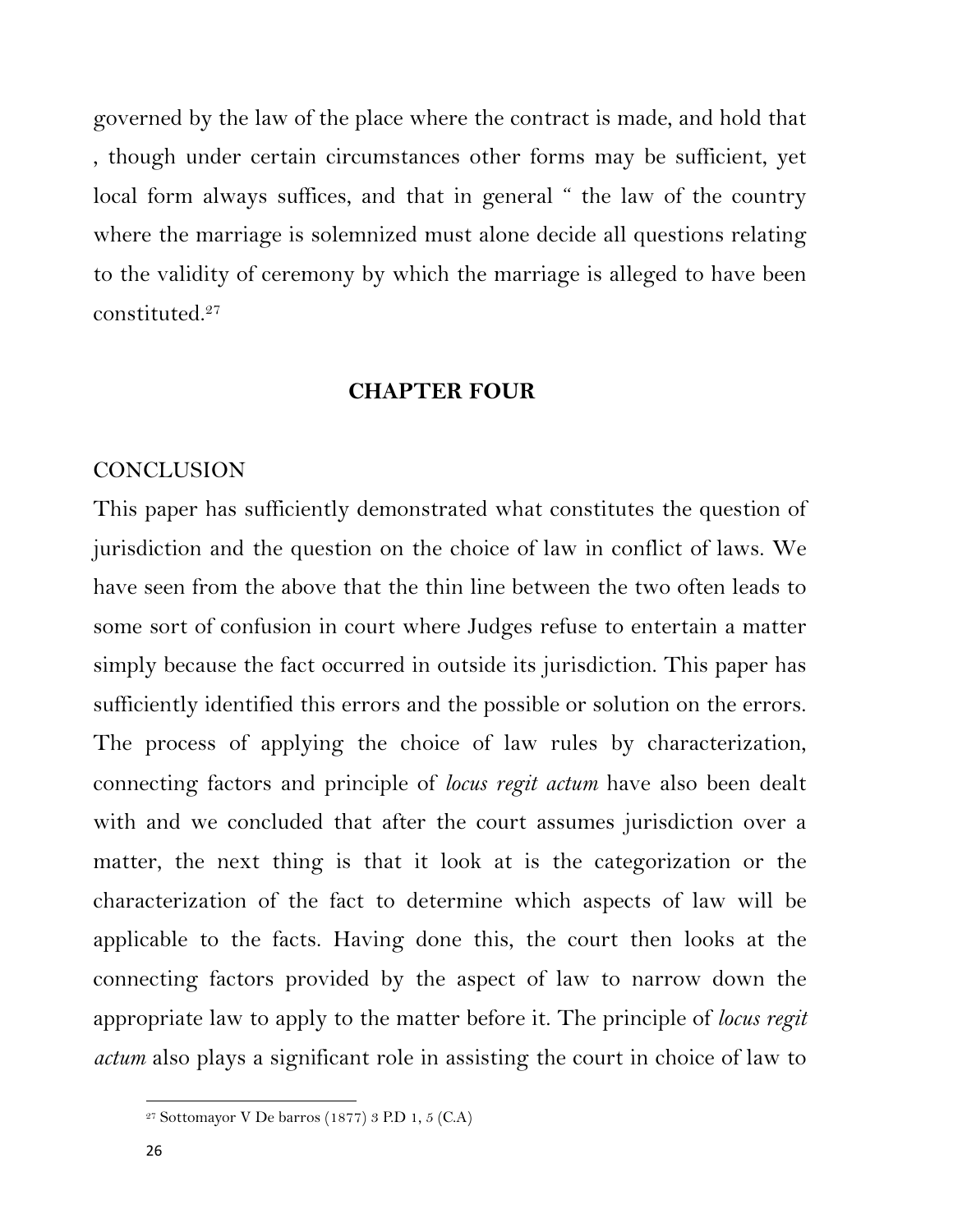governed by the law of the place where the contract is made, and hold that , though under certain circumstances other forms may be sufficient, yet local form always suffices, and that in general " the law of the country where the marriage is solemnized must alone decide all questions relating to the validity of ceremony by which the marriage is alleged to have been constituted.27

#### **CHAPTER FOUR**

#### **CONCLUSION**

This paper has sufficiently demonstrated what constitutes the question of jurisdiction and the question on the choice of law in conflict of laws. We have seen from the above that the thin line between the two often leads to some sort of confusion in court where Judges refuse to entertain a matter simply because the fact occurred in outside its jurisdiction. This paper has sufficiently identified this errors and the possible or solution on the errors. The process of applying the choice of law rules by characterization, connecting factors and principle of *locus regit actum* have also been dealt with and we concluded that after the court assumes jurisdiction over a matter, the next thing is that it look at is the categorization or the characterization of the fact to determine which aspects of law will be applicable to the facts. Having done this, the court then looks at the connecting factors provided by the aspect of law to narrow down the appropriate law to apply to the matter before it. The principle of *locus regit actum* also plays a significant role in assisting the court in choice of law to

<sup>27</sup> Sottomayor V De barros (1877) 3 P.D 1, 5 (C.A)